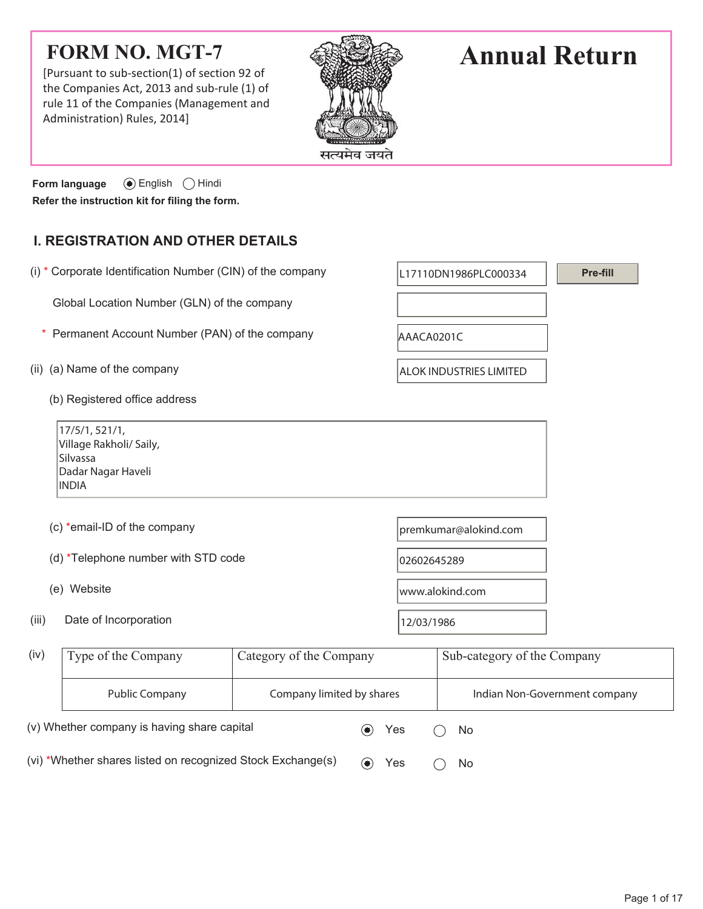# **FORM NO. MGT-7**

[Pursuant to sub-section(1) of section 92 of the Companies Act, 2013 and sub-rule (1) of rule 11 of the Companies (Management and Administration) Rules, 2014]



# **Annual Return**

**Pre-fill**

**Form language**  $\odot$  English  $\odot$  Hindi **Refer the instruction kit for filing the form.**

## **I. REGISTRATION AND OTHER DETAILS**

(i)  $*$  Corporate Identification Number (CIN) of the company  $\vert$  L17110DN1986PLC000334

Global Location Number (GLN) of the company

- \* Permanent Account Number (PAN) of the company  $A_{\text{AAACA0201C}}$
- (ii) (a) Name of the company  $\vert$  ALOK INDUSTRIES LIMITED
	- (b) Registered office address

17/5/1, 521/1, Village Rakholi/ Saily, Silvassa Dadar Nagar Haveli INDIA

- (c) \*email-ID of the company entity and  $\mathbf{p}$  premkumar@alokind.com
- (d) \*Telephone number with STD code  $|02602645289\rangle$
- 
- (iii) Date of Incorporation  $12/03/1986$

(e) Website www.alokind.com

| (iv)                                                        | Type of the Company | Category of the Company   |  |     | Sub-category of the Company |                               |  |  |
|-------------------------------------------------------------|---------------------|---------------------------|--|-----|-----------------------------|-------------------------------|--|--|
|                                                             | Public Company      | Company limited by shares |  |     |                             | Indian Non-Government company |  |  |
| (v) Whether company is having share capital                 |                     |                           |  | Yes |                             | No.                           |  |  |
| (vi) *Whether shares listed on recognized Stock Exchange(s) |                     |                           |  | Yes |                             | No.                           |  |  |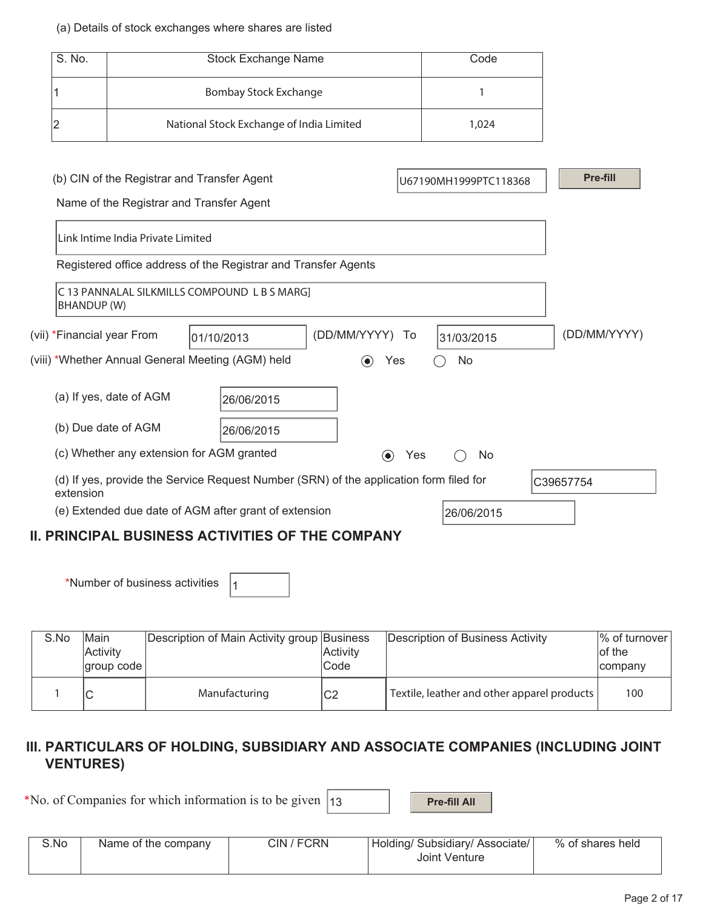#### (a) Details of stock exchanges where shares are listed

| S. No.                                                                                              | <b>Stock Exchange Name</b>        |                                                                |                          |     | Code                  |              |  |
|-----------------------------------------------------------------------------------------------------|-----------------------------------|----------------------------------------------------------------|--------------------------|-----|-----------------------|--------------|--|
|                                                                                                     |                                   | Bombay Stock Exchange                                          |                          | 1   |                       |              |  |
| 2                                                                                                   |                                   | National Stock Exchange of India Limited                       |                          |     | 1,024                 |              |  |
|                                                                                                     |                                   |                                                                |                          |     |                       |              |  |
|                                                                                                     |                                   | (b) CIN of the Registrar and Transfer Agent                    |                          |     | U67190MH1999PTC118368 | Pre-fill     |  |
|                                                                                                     |                                   | Name of the Registrar and Transfer Agent                       |                          |     |                       |              |  |
|                                                                                                     | Link Intime India Private Limited |                                                                |                          |     |                       |              |  |
|                                                                                                     |                                   | Registered office address of the Registrar and Transfer Agents |                          |     |                       |              |  |
| <b>BHANDUP (W)</b>                                                                                  |                                   | C 13 PANNALAL SILKMILLS COMPOUND L B S MARG]                   |                          |     |                       |              |  |
| (DD/MM/YYYY) To<br>(vii) *Financial year From<br>01/10/2013                                         |                                   |                                                                |                          |     | 31/03/2015            | (DD/MM/YYYY) |  |
|                                                                                                     |                                   | (viii) *Whether Annual General Meeting (AGM) held              | $\left( \bullet \right)$ | Yes | No                    |              |  |
|                                                                                                     | (a) If yes, date of AGM           | 26/06/2015                                                     |                          |     |                       |              |  |
| (b) Due date of AGM                                                                                 |                                   |                                                                |                          |     |                       |              |  |
| (c) Whether any extension for AGM granted<br>$\odot$<br>Yes<br>No                                   |                                   |                                                                |                          |     |                       |              |  |
| (d) If yes, provide the Service Request Number (SRN) of the application form filed for<br>extension |                                   |                                                                |                          |     |                       | C39657754    |  |
| (e) Extended due date of AGM after grant of extension<br>26/06/2015                                 |                                   |                                                                |                          |     |                       |              |  |
| <b>II. PRINCIPAL BUSINESS ACTIVITIES OF THE COMPANY</b>                                             |                                   |                                                                |                          |     |                       |              |  |

\*Number of business activities  $|_1$ 

| S.No | Main<br>Activity<br>  aroup code | Description of Main Activity group Business | <b>Activity</b><br>Code | Description of Business Activity            | $\%$ of turnover<br>of the<br>company |
|------|----------------------------------|---------------------------------------------|-------------------------|---------------------------------------------|---------------------------------------|
|      |                                  | Manufacturing                               | C2                      | Textile, leather and other apparel products | 100                                   |

## **III. PARTICULARS OF HOLDING, SUBSIDIARY AND ASSOCIATE COMPANIES (INCLUDING JOINT VENTURES)**

\*No. of Companies for which information is to be given  $\vert$  13 **Pre-fill All** 

| S.No<br>CIN / FCRN<br>% of shares held<br>Holding/ Subsidiary/ Associate/<br>Name of the company<br>Joint Venture |  |
|-------------------------------------------------------------------------------------------------------------------|--|
|-------------------------------------------------------------------------------------------------------------------|--|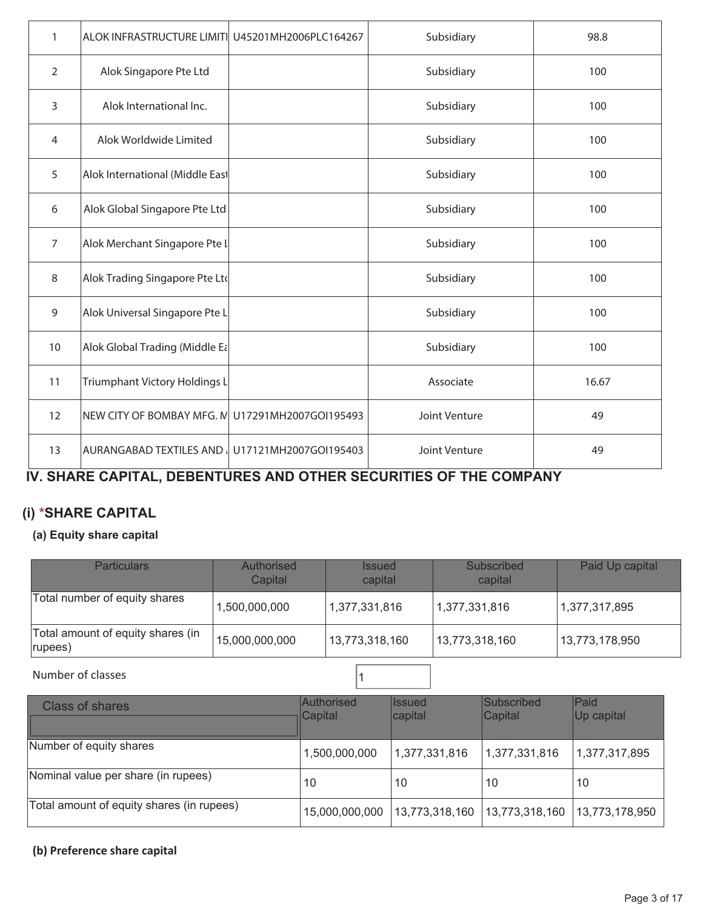| 1              | ALOK INFRASTRUCTURE LIMITI U45201MH2006PLC164267 |                       | Subsidiary    | 98.8  |
|----------------|--------------------------------------------------|-----------------------|---------------|-------|
| $\overline{2}$ | Alok Singapore Pte Ltd                           |                       | Subsidiary    | 100   |
| 3              | Alok International Inc.                          |                       | Subsidiary    | 100   |
| 4              | Alok Worldwide Limited                           |                       | Subsidiary    | 100   |
| 5              | Alok International (Middle East                  |                       | Subsidiary    | 100   |
| 6              | Alok Global Singapore Pte Ltd                    |                       | Subsidiary    | 100   |
| $\overline{7}$ | Alok Merchant Singapore Pte L                    |                       | Subsidiary    | 100   |
| 8              | Alok Trading Singapore Pte Ltd                   |                       | Subsidiary    | 100   |
| 9              | Alok Universal Singapore Pte L                   |                       | Subsidiary    | 100   |
| 10             | Alok Global Trading (Middle Ea                   |                       | Subsidiary    | 100   |
| 11             | Triumphant Victory Holdings L                    |                       | Associate     | 16.67 |
| 12             | NEW CITY OF BOMBAY MFG. N U17291MH2007GOI195493  |                       | Joint Venture | 49    |
| 13             | AURANGABAD TEXTILES AND                          | U17121MH2007GOI195403 | Joint Venture | 49    |

# **IV. SHARE CAPITAL, DEBENTURES AND OTHER SECURITIES OF THE COMPANY**

# **(i) \*SHARE CAPITAL**

## **(a) Equity share capital**

| <b>Particulars</b>                           | Authorised<br>Capital | <b>Issued</b><br>capital | Subscribed<br>capital | Paid Up capital |
|----------------------------------------------|-----------------------|--------------------------|-----------------------|-----------------|
| Total number of equity shares                | 1,500,000,000         | 1,377,331,816            | 1,377,331,816         | 1,377,317,895   |
| Total amount of equity shares (in<br>rupees) | 15,000,000,000        | 13,773,318,160           | 13,773,318,160        | 13,773,178,950  |
| Number of classes                            |                       |                          |                       |                 |

| Class of shares                           | Authorised<br>Capital | llssued<br>capital | Subscribed<br>Capital | <b>Paid</b><br>Up capital |
|-------------------------------------------|-----------------------|--------------------|-----------------------|---------------------------|
| Number of equity shares                   | 1,500,000,000         | 1,377,331,816      | 1,377,331,816         | 1,377,317,895             |
| Nominal value per share (in rupees)       | 10                    | 10                 | 10                    | 10                        |
| Total amount of equity shares (in rupees) | 15,000,000,000        | 13,773,318,160     | 13,773,318,160        | 13,773,178,950            |

### **(b) Preference share capital**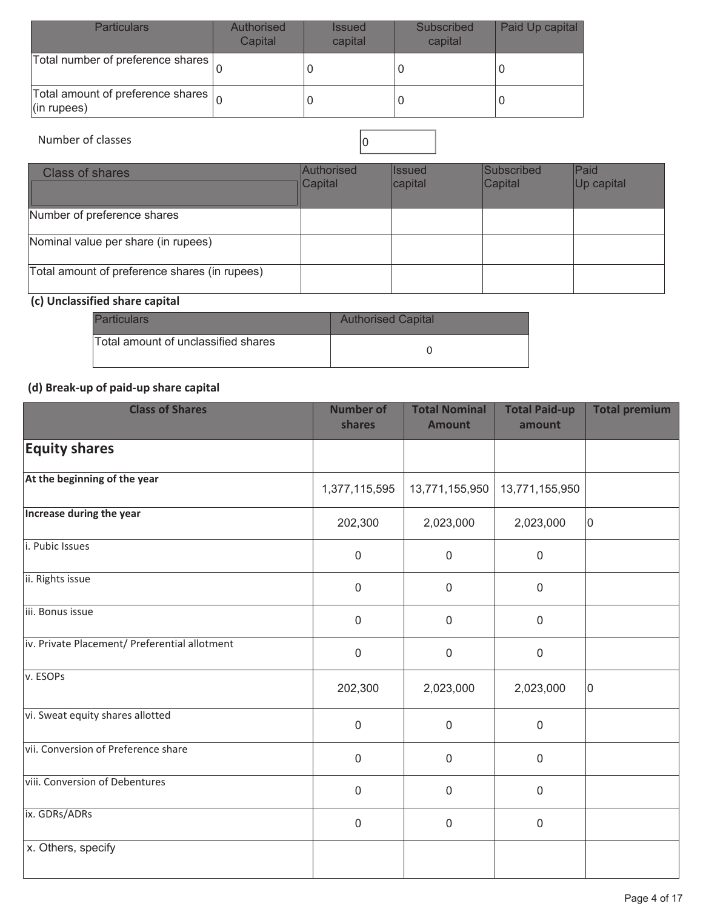| <b>Particulars</b>                                                | Authorised<br>Capital | <b>Issued</b><br>capital | Subscribed<br>capital | Paid Up capital |
|-------------------------------------------------------------------|-----------------------|--------------------------|-----------------------|-----------------|
| Total number of preference shares                                 |                       |                          |                       |                 |
| Total amount of preference shares $\vert_{\Omega}$<br>(in rupees) |                       |                          |                       |                 |

# Number of classes 0

| <b>Class of shares</b>                        | Authorised<br>$ $ Capital | <b>Issued</b><br>capital | Subscribed<br>Capital | Paid<br>Up capital |
|-----------------------------------------------|---------------------------|--------------------------|-----------------------|--------------------|
| Number of preference shares                   |                           |                          |                       |                    |
| Nominal value per share (in rupees)           |                           |                          |                       |                    |
| Total amount of preference shares (in rupees) |                           |                          |                       |                    |

# **(c) Unclassified share capital**

| <b>Particulars</b>                  | <b>Authorised Capital</b> |
|-------------------------------------|---------------------------|
| Total amount of unclassified shares |                           |

## **(d) Break-up of paid-up share capital**

| <b>Class of Shares</b>                        | <b>Number of</b><br>shares | <b>Total Nominal</b><br><b>Amount</b> | <b>Total Paid-up</b><br>amount | <b>Total premium</b> |
|-----------------------------------------------|----------------------------|---------------------------------------|--------------------------------|----------------------|
| <b>Equity shares</b>                          |                            |                                       |                                |                      |
| At the beginning of the year                  | 1,377,115,595              | 13,771,155,950                        | 13,771,155,950                 |                      |
| Increase during the year                      | 202,300                    | 2,023,000                             | 2,023,000                      | 10                   |
| i. Pubic Issues                               | $\mathbf 0$                | $\mathbf 0$                           | $\mathbf 0$                    |                      |
| ii. Rights issue                              | $\pmb{0}$                  | $\mathbf 0$                           | $\mathbf 0$                    |                      |
| iii. Bonus issue                              | $\pmb{0}$                  | $\mathbf 0$                           | $\mathbf 0$                    |                      |
| iv. Private Placement/ Preferential allotment | $\mathbf 0$                | $\mathbf 0$                           | $\mathbf 0$                    |                      |
| v. ESOPs                                      | 202,300                    | 2,023,000                             | 2,023,000                      | 10                   |
| vi. Sweat equity shares allotted              | $\mathbf 0$                | $\mathbf 0$                           | 0                              |                      |
| vii. Conversion of Preference share           | $\mathbf 0$                | $\mathbf 0$                           | $\mathbf 0$                    |                      |
| viii. Conversion of Debentures                | $\mathbf 0$                | $\overline{0}$                        | $\mathbf 0$                    |                      |
| ix. GDRs/ADRs                                 | $\mathbf 0$                | $\mathbf 0$                           | $\mathbf 0$                    |                      |
| x. Others, specify                            |                            |                                       |                                |                      |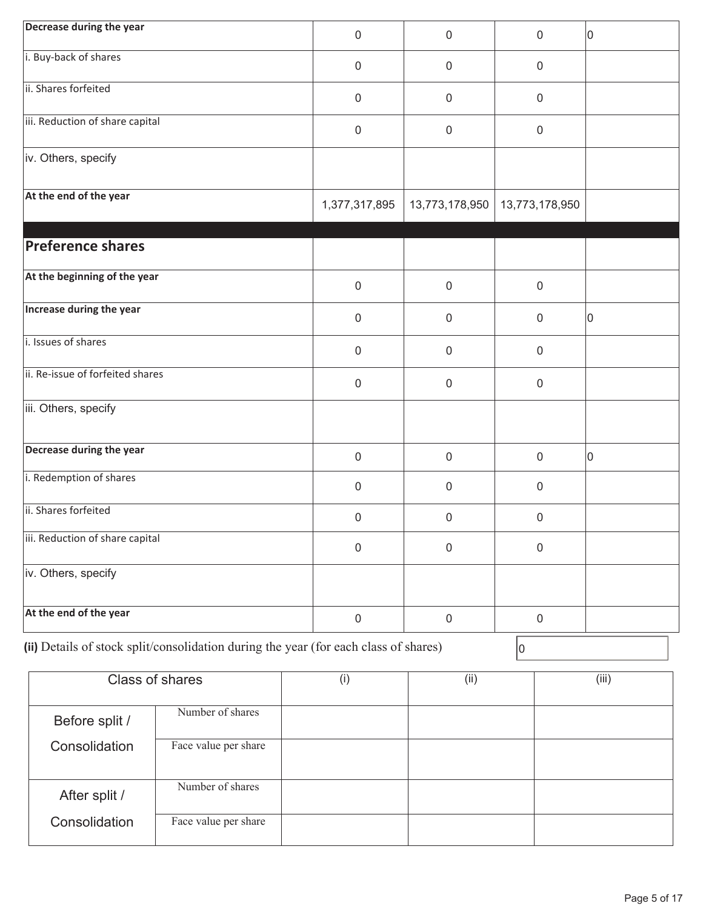| Decrease during the year                                                             |                      | $\mathsf{O}\xspace$ | $\boldsymbol{0}$ | $\mathbf 0$      | 10    |
|--------------------------------------------------------------------------------------|----------------------|---------------------|------------------|------------------|-------|
| i. Buy-back of shares                                                                |                      | $\mathsf{O}\xspace$ | $\pmb{0}$        | $\mathbf 0$      |       |
| ii. Shares forfeited                                                                 |                      | $\mathsf{O}\xspace$ | $\mathbf 0$      | $\mathbf 0$      |       |
| iii. Reduction of share capital                                                      |                      | $\mathsf{O}\xspace$ | $\pmb{0}$        | $\mathbf 0$      |       |
| iv. Others, specify                                                                  |                      |                     |                  |                  |       |
| At the end of the year                                                               |                      | 1,377,317,895       | 13,773,178,950   | 13,773,178,950   |       |
|                                                                                      |                      |                     |                  |                  |       |
| <b>Preference shares</b>                                                             |                      |                     |                  |                  |       |
| At the beginning of the year                                                         |                      | $\mathsf{O}\xspace$ | $\mathbf 0$      | $\mathbf 0$      |       |
| Increase during the year                                                             |                      | $\mathsf{O}\xspace$ | $\pmb{0}$        | $\boldsymbol{0}$ | 10    |
| i. Issues of shares                                                                  |                      | $\mathsf{O}\xspace$ | $\pmb{0}$        | $\mathbf 0$      |       |
| ii. Re-issue of forfeited shares                                                     |                      | $\mathsf{O}\xspace$ | $\mathbf 0$      | $\mathbf 0$      |       |
| iii. Others, specify                                                                 |                      |                     |                  |                  |       |
| Decrease during the year                                                             |                      | $\mathsf{O}\xspace$ | $\boldsymbol{0}$ | $\mathsf 0$      | 10    |
| i. Redemption of shares                                                              |                      | $\mathsf{O}\xspace$ | $\boldsymbol{0}$ | $\mathsf{0}$     |       |
| ii. Shares forfeited                                                                 |                      | $\pmb{0}$           | $\boldsymbol{0}$ | $\mathbf 0$      |       |
| iii. Reduction of share capital                                                      |                      | $\mathsf 0$         | $\boldsymbol{0}$ | $\boldsymbol{0}$ |       |
| iv. Others, specify                                                                  |                      |                     |                  |                  |       |
| At the end of the year                                                               |                      | $\mathbf 0$         | $\boldsymbol{0}$ | $\mathsf 0$      |       |
| (ii) Details of stock split/consolidation during the year (for each class of shares) |                      |                     |                  | 0                |       |
| Class of shares                                                                      |                      | (i)                 | (ii)             |                  | (iii) |
| Before split /                                                                       | Number of shares     |                     |                  |                  |       |
| Consolidation                                                                        | Face value per share |                     |                  |                  |       |
|                                                                                      |                      |                     |                  |                  |       |

After split / Number of shares

Face value per share

Consolidation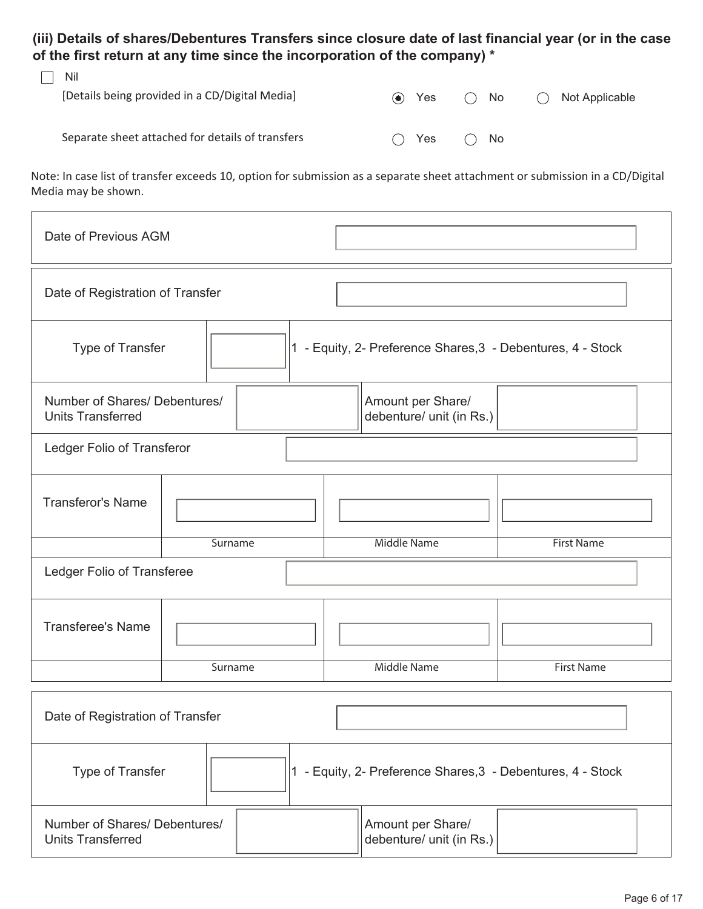**(iii) Details of shares/Debentures Transfers since closure date of last financial year (or in the case of the first return at any time since the incorporation of the company) \*** 

| Nil<br>[Details being provided in a CD/Digital Media] | $\left( \bullet \right)$ | Yes | $\bigcirc$ No | ( | Not Applicable |
|-------------------------------------------------------|--------------------------|-----|---------------|---|----------------|
| Separate sheet attached for details of transfers      | (                        | Yes | $\bigcap$ No  |   |                |

Note: In case list of transfer exceeds 10, option for submission as a separate sheet attachment or submission in a CD/Digital Media may be shown.

| Date of Previous AGM                                                            |         |  |  |                                               |                   |  |
|---------------------------------------------------------------------------------|---------|--|--|-----------------------------------------------|-------------------|--|
| Date of Registration of Transfer                                                |         |  |  |                                               |                   |  |
| Type of Transfer<br>1 - Equity, 2- Preference Shares, 3 - Debentures, 4 - Stock |         |  |  |                                               |                   |  |
| Number of Shares/ Debentures/<br><b>Units Transferred</b>                       |         |  |  | Amount per Share/<br>debenture/ unit (in Rs.) |                   |  |
| Ledger Folio of Transferor                                                      |         |  |  |                                               |                   |  |
| <b>Transferor's Name</b>                                                        |         |  |  |                                               |                   |  |
|                                                                                 | Surname |  |  | <b>Middle Name</b>                            | <b>First Name</b> |  |
| Ledger Folio of Transferee                                                      |         |  |  |                                               |                   |  |
| <b>Transferee's Name</b>                                                        |         |  |  |                                               |                   |  |
|                                                                                 | Surname |  |  | <b>Middle Name</b>                            | <b>First Name</b> |  |
| Date of Registration of Transfer                                                |         |  |  |                                               |                   |  |
| 1 - Equity, 2- Preference Shares, 3 - Debentures, 4 - Stock<br>Type of Transfer |         |  |  |                                               |                   |  |

| Number of Shares/ Debentures/<br>Units Transferred | Amount per Share/<br>debenture/ unit (in Rs.) |
|----------------------------------------------------|-----------------------------------------------|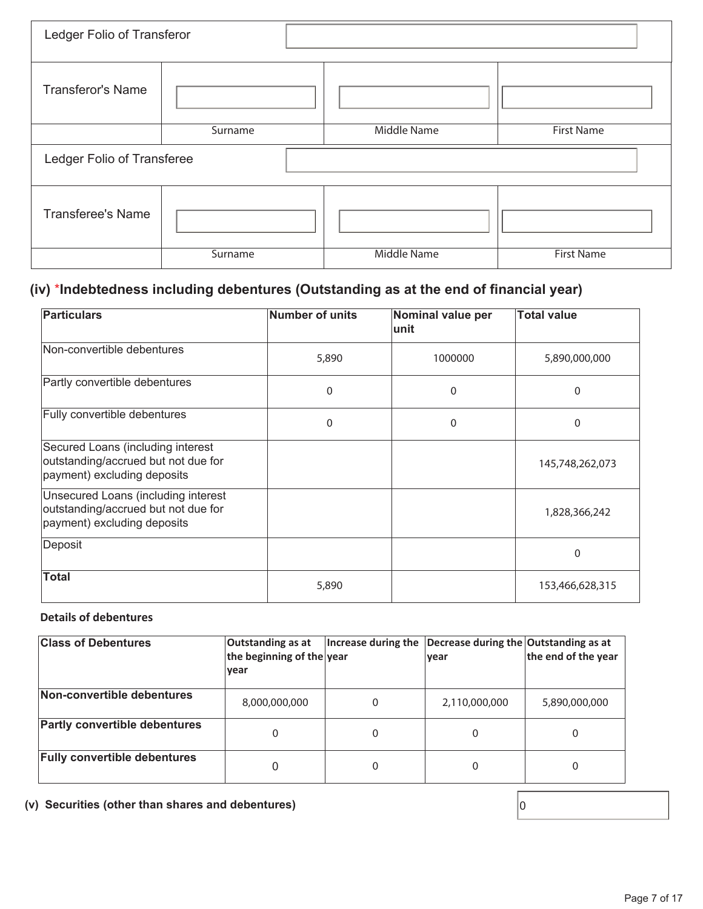| Ledger Folio of Transferor |         |             |                   |  |  |
|----------------------------|---------|-------------|-------------------|--|--|
| <b>Transferor's Name</b>   |         |             |                   |  |  |
|                            | Surname | Middle Name | <b>First Name</b> |  |  |
| Ledger Folio of Transferee |         |             |                   |  |  |
|                            |         |             |                   |  |  |
| <b>Transferee's Name</b>   |         |             |                   |  |  |

# **(iv)** \***Indebtedness including debentures (Outstanding as at the end of financial year)**

| <b>Particulars</b>                                                                                        | Number of units | Nominal value per<br>lunit | <b>Total value</b> |
|-----------------------------------------------------------------------------------------------------------|-----------------|----------------------------|--------------------|
| Non-convertible debentures                                                                                | 5,890           | 1000000                    | 5,890,000,000      |
| Partly convertible debentures                                                                             | 0               | $\mathbf{0}$               | 0                  |
| Fully convertible debentures                                                                              | 0               | $\mathbf{0}$               | 0                  |
| Secured Loans (including interest<br>outstanding/accrued but not due for<br>payment) excluding deposits   |                 |                            | 145,748,262,073    |
| Unsecured Loans (including interest<br>outstanding/accrued but not due for<br>payment) excluding deposits |                 |                            | 1,828,366,242      |
| Deposit                                                                                                   |                 |                            | 0                  |
| <b>Total</b>                                                                                              | 5,890           |                            | 153,466,628,315    |

### **Details of debentures**

| <b>Class of Debentures</b>           | Outstanding as at<br>the beginning of the year<br><b>vear</b> | Increase during the | Decrease during the Outstanding as at<br>lvear | the end of the year |
|--------------------------------------|---------------------------------------------------------------|---------------------|------------------------------------------------|---------------------|
| Non-convertible debentures           | 8,000,000,000                                                 | 0                   | 2,110,000,000                                  | 5,890,000,000       |
| <b>Partly convertible debentures</b> | 0                                                             | 0                   | 0                                              |                     |
| <b>Fully convertible debentures</b>  |                                                               | 0                   | 0                                              |                     |

**(v) Securities (other than shares and debentures)** 0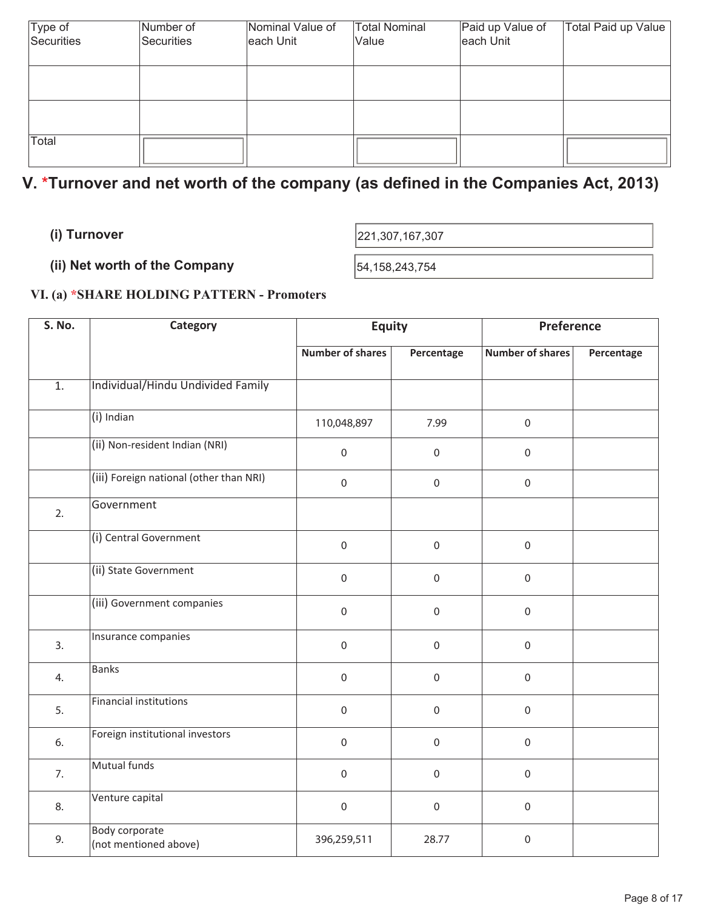| Type of    | Number of  | Nominal Value of | Total Nominal | Paid up Value of | Total Paid up Value |
|------------|------------|------------------|---------------|------------------|---------------------|
| Securities | Securities | each Unit        | Value         | each Unit        |                     |
|            |            |                  |               |                  |                     |
|            |            |                  |               |                  |                     |
|            |            |                  |               |                  |                     |
|            |            |                  |               |                  |                     |
|            |            |                  |               |                  |                     |
| Total      |            |                  |               |                  |                     |
|            |            |                  |               |                  |                     |

# **V. \*Turnover and net worth of the company (as defined in the Companies Act, 2013)**

**(i) Turnover** 221,307,167,307

**(ii) Net worth of the Company**  $\left| \frac{54,158,243,754}{54,158,243,754} \right|$ 

## **VI. (a) \*SHARE HOLDING PATTERN - Promoters**

| <b>S. No.</b>    | Category                                       | <b>Equity</b>           |                  | <b>Preference</b>       |            |
|------------------|------------------------------------------------|-------------------------|------------------|-------------------------|------------|
|                  |                                                | <b>Number of shares</b> | Percentage       | <b>Number of shares</b> | Percentage |
| $\overline{1}$ . | Individual/Hindu Undivided Family              |                         |                  |                         |            |
|                  | (i) Indian                                     | 110,048,897             | 7.99             | $\mathsf{O}\xspace$     |            |
|                  | (ii) Non-resident Indian (NRI)                 | $\mathbf 0$             | $\mathbf 0$      | $\mathbf 0$             |            |
|                  | (iii) Foreign national (other than NRI)        | $\mathbf 0$             | $\boldsymbol{0}$ | $\boldsymbol{0}$        |            |
| 2.               | Government                                     |                         |                  |                         |            |
|                  | (i) Central Government                         | $\mathbf 0$             | $\mathbf 0$      | $\boldsymbol{0}$        |            |
|                  | (ii) State Government                          | $\boldsymbol{0}$        | $\boldsymbol{0}$ | $\boldsymbol{0}$        |            |
|                  | (iii) Government companies                     | $\mathbf 0$             | $\mathbf 0$      | $\boldsymbol{0}$        |            |
| 3.               | Insurance companies                            | $\mathbf 0$             | $\mathbf 0$      | $\boldsymbol{0}$        |            |
| 4.               | Banks                                          | $\mathbf 0$             | $\mbox{O}$       | $\mathbf 0$             |            |
| 5.               | <b>Financial institutions</b>                  | $\mathsf{O}\xspace$     | $\mathbf 0$      | $\mathbf 0$             |            |
| 6.               | Foreign institutional investors                | $\mathsf 0$             | $\mathbf 0$      | $\boldsymbol{0}$        |            |
| 7.               | Mutual funds                                   | $\mathsf 0$             | $\boldsymbol{0}$ | $\mathsf{O}\xspace$     |            |
| 8.               | Venture capital                                | $\mathbf 0$             | $\mathbf 0$      | $\boldsymbol{0}$        |            |
| 9.               | <b>Body corporate</b><br>(not mentioned above) | 396,259,511             | 28.77            | $\boldsymbol{0}$        |            |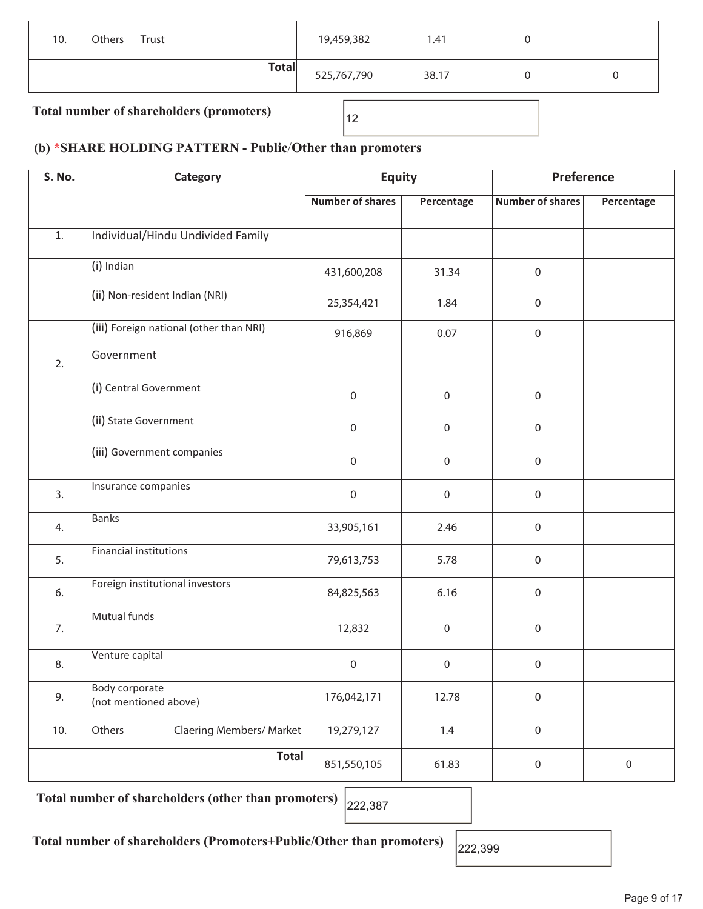| 10. | Trust<br>Others | 19,459,382  | 1.41  |  |  |  |  |
|-----|-----------------|-------------|-------|--|--|--|--|
|     | <b>Total</b>    | 525,767,790 | 38.17 |  |  |  |  |
|     |                 |             |       |  |  |  |  |

Total number of shareholders (promoters)  $\begin{bmatrix} 12 \end{bmatrix}$ 

## **(b) \*SHARE HOLDING PATTERN - Public**/**Other than promoters**

| <b>S. No.</b> | Category                                       | <b>Equity</b>           |                     | Preference              |             |  |
|---------------|------------------------------------------------|-------------------------|---------------------|-------------------------|-------------|--|
|               |                                                | <b>Number of shares</b> | Percentage          | <b>Number of shares</b> | Percentage  |  |
| $1.$          | Individual/Hindu Undivided Family              |                         |                     |                         |             |  |
|               | $(i)$ Indian                                   | 431,600,208             | 31.34               | $\boldsymbol{0}$        |             |  |
|               | (ii) Non-resident Indian (NRI)                 | 25,354,421              | 1.84                | $\boldsymbol{0}$        |             |  |
|               | (iii) Foreign national (other than NRI)        | 916,869                 | 0.07                | $\mathbf 0$             |             |  |
| 2.            | Government                                     |                         |                     |                         |             |  |
|               | (i) Central Government                         | $\mathsf{O}\xspace$     | $\boldsymbol{0}$    | $\mathbf 0$             |             |  |
|               | (ii) State Government                          | $\mathbf 0$             | $\boldsymbol{0}$    | $\boldsymbol{0}$        |             |  |
|               | (iii) Government companies                     | $\mathsf{O}\xspace$     | $\mathsf{O}\xspace$ | $\mathbf 0$             |             |  |
| 3.            | Insurance companies                            | $\mathsf{O}\xspace$     | $\mathsf{O}\xspace$ | $\mathbf 0$             |             |  |
| 4.            | Banks                                          | 33,905,161              | 2.46                | $\mathbf 0$             |             |  |
| 5.            | Financial institutions                         | 79,613,753              | 5.78                | $\boldsymbol{0}$        |             |  |
| 6.            | Foreign institutional investors                | 84,825,563              | 6.16                | $\mathbf 0$             |             |  |
| 7.            | Mutual funds                                   | 12,832                  | $\,0\,$             | $\mathbf 0$             |             |  |
| 8.            | Venture capital                                | 0                       | $\,0\,$             | $\,0\,$                 |             |  |
| 9.            | <b>Body corporate</b><br>(not mentioned above) | 176,042,171             | 12.78               | $\boldsymbol{0}$        |             |  |
| 10.           | Claering Members/ Market<br>Others             | 19,279,127              | $1.4$               | $\mathbf 0$             |             |  |
|               | <b>Total</b>                                   | 851,550,105             | 61.83               | $\mathbf 0$             | $\mathbf 0$ |  |

Total number of shareholders (other than promoters) 222,387

Total number of shareholders (Promoters+Public/Other than promoters)  $\Big|_{222,399}$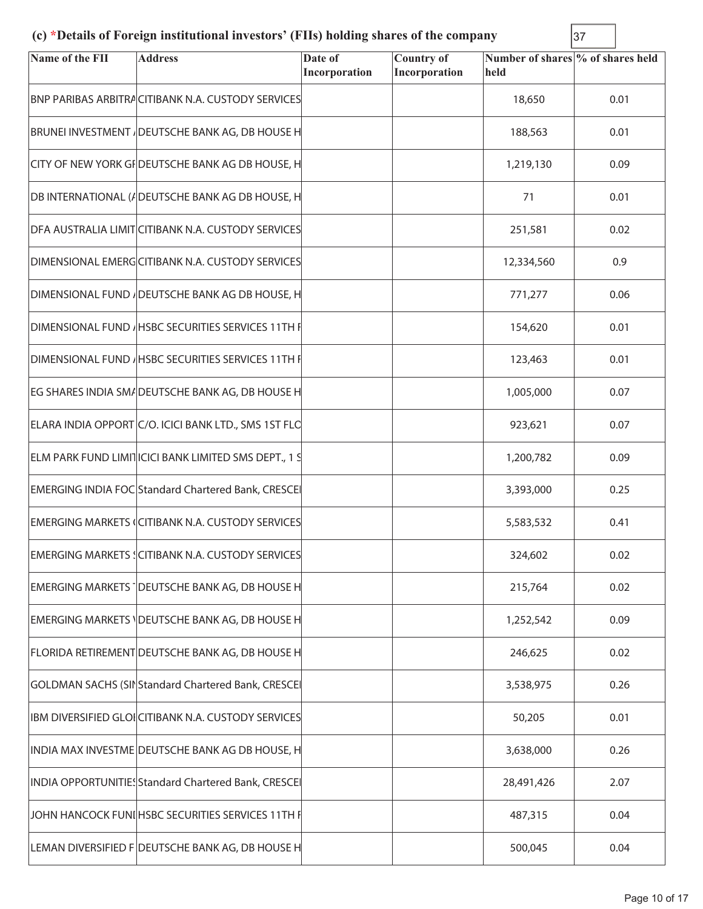# **(c) \*Details of Foreign institutional investors' (FIIs) holding shares of the company** 37

| Name of the FII | <b>Address</b>                                             | Date of<br>Incorporation | <b>Country of</b><br>Incorporation | Number of shares % of shares held<br>held |      |
|-----------------|------------------------------------------------------------|--------------------------|------------------------------------|-------------------------------------------|------|
|                 | <b>BNP PARIBAS ARBITRA CITIBANK N.A. CUSTODY SERVICES</b>  |                          |                                    | 18,650                                    | 0.01 |
|                 | BRUNEI INVESTMENT / DEUTSCHE BANK AG, DB HOUSE H           |                          |                                    | 188,563                                   | 0.01 |
|                 | CITY OF NEW YORK GF DEUTSCHE BANK AG DB HOUSE, H           |                          |                                    | 1,219,130                                 | 0.09 |
|                 | DB INTERNATIONAL (ADEUTSCHE BANK AG DB HOUSE, H            |                          |                                    | 71                                        | 0.01 |
|                 | DFA AUSTRALIA LIMIT CITIBANK N.A. CUSTODY SERVICES         |                          |                                    | 251,581                                   | 0.02 |
|                 | DIMENSIONAL EMERGCITIBANK N.A. CUSTODY SERVICES            |                          |                                    | 12,334,560                                | 0.9  |
|                 | DIMENSIONAL FUND / DEUTSCHE BANK AG DB HOUSE, H            |                          |                                    | 771,277                                   | 0.06 |
|                 | DIMENSIONAL FUND / HSBC SECURITIES SERVICES 11TH F         |                          |                                    | 154,620                                   | 0.01 |
|                 | DIMENSIONAL FUND / HSBC SECURITIES SERVICES 11TH F         |                          |                                    | 123,463                                   | 0.01 |
|                 | EG SHARES INDIA SM/DEUTSCHE BANK AG, DB HOUSE H            |                          |                                    | 1,005,000                                 | 0.07 |
|                 | ELARA INDIA OPPORT C/O. ICICI BANK LTD., SMS 1ST FLC       |                          |                                    | 923,621                                   | 0.07 |
|                 | ELM PARK FUND LIMITICICI BANK LIMITED SMS DEPT., 1 S       |                          |                                    | 1,200,782                                 | 0.09 |
|                 | <b>EMERGING INDIA FOC Standard Chartered Bank, CRESCEI</b> |                          |                                    | 3,393,000                                 | 0.25 |
|                 | <b>EMERGING MARKETS (CITIBANK N.A. CUSTODY SERVICES</b>    |                          |                                    | 5,583,532                                 | 0.41 |
|                 | EMERGING MARKETS (CITIBANK N.A. CUSTODY SERVICES           |                          |                                    | 324,602                                   | 0.02 |
|                 | EMERGING MARKETS   DEUTSCHE BANK AG, DB HOUSE H            |                          |                                    | 215,764                                   | 0.02 |
|                 | EMERGING MARKETS \DEUTSCHE BANK AG, DB HOUSE H             |                          |                                    | 1,252,542                                 | 0.09 |
|                 | FLORIDA RETIREMENT DEUTSCHE BANK AG, DB HOUSE H            |                          |                                    | 246,625                                   | 0.02 |
|                 | GOLDMAN SACHS (SII Standard Chartered Bank, CRESCEI        |                          |                                    | 3,538,975                                 | 0.26 |
|                 | IBM DIVERSIFIED GLOICITIBANK N.A. CUSTODY SERVICES         |                          |                                    | 50,205                                    | 0.01 |
|                 | INDIA MAX INVESTME DEUTSCHE BANK AG DB HOUSE, H            |                          |                                    | 3,638,000                                 | 0.26 |
|                 | INDIA OPPORTUNITIES Standard Chartered Bank, CRESCEI       |                          |                                    | 28,491,426                                | 2.07 |
|                 | JOHN HANCOCK FUNIHSBC SECURITIES SERVICES 11TH F           |                          |                                    | 487,315                                   | 0.04 |
|                 | LEMAN DIVERSIFIED F DEUTSCHE BANK AG, DB HOUSE H           |                          |                                    | 500,045                                   | 0.04 |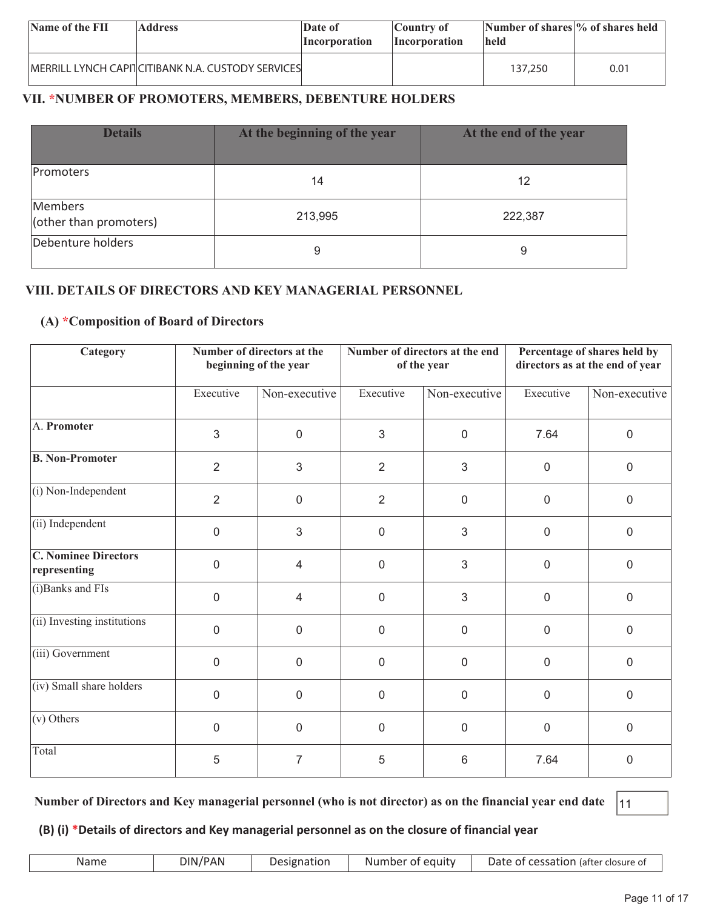| Name of the FII | <b>Address</b>                                       | Date of<br>Incorporation | Country of<br><i>Incorporation</i> | Number of shares % of shares held<br><b>held</b> |      |
|-----------------|------------------------------------------------------|--------------------------|------------------------------------|--------------------------------------------------|------|
|                 | IMERRILL LYNCH CAPITICITIBANK N.A. CUSTODY SERVICESI |                          |                                    | 137,250                                          | 0.01 |

## **VII. \*NUMBER OF PROMOTERS, MEMBERS, DEBENTURE HOLDERS**

| <b>Details</b>                    | At the beginning of the year | At the end of the year |
|-----------------------------------|------------------------------|------------------------|
| Promoters                         | 14                           | 12                     |
| Members<br>(other than promoters) | 213,995                      | 222,387                |
| Debenture holders                 | 9                            | 9                      |

### **VIII. DETAILS OF DIRECTORS AND KEY MANAGERIAL PERSONNEL**

#### **(A) \*Composition of Board of Directors**

| Category                                    |                | Number of directors at the<br>beginning of the year |                  | Number of directors at the end<br>of the year | Percentage of shares held by<br>directors as at the end of year |                |
|---------------------------------------------|----------------|-----------------------------------------------------|------------------|-----------------------------------------------|-----------------------------------------------------------------|----------------|
|                                             | Executive      | Non-executive                                       | Executive        | Non-executive                                 | Executive                                                       | Non-executive  |
| A. Promoter                                 | 3              | $\mathbf 0$                                         | 3                | $\overline{0}$                                | 7.64                                                            | $\overline{0}$ |
| <b>B. Non-Promoter</b>                      | $\overline{2}$ | $\mathfrak{S}$                                      | $\overline{2}$   | 3                                             | $\mathbf 0$                                                     | $\mathbf 0$    |
| (i) Non-Independent                         | $\overline{2}$ | $\mathbf 0$                                         | $\overline{2}$   | $\mathbf 0$                                   | $\mathbf 0$                                                     | $\mathbf 0$    |
| (ii) Independent                            | $\mathbf 0$    | $\mathfrak{S}$                                      | $\mathbf 0$      | 3                                             | $\mathbf 0$                                                     | $\overline{0}$ |
| <b>C. Nominee Directors</b><br>representing | $\overline{0}$ | 4                                                   | $\mathbf 0$      | 3                                             | $\mathbf 0$                                                     | $\mathbf 0$    |
| (i) Banks and FIs                           | $\mathbf 0$    | $\overline{4}$                                      | $\mathbf 0$      | 3                                             | $\mathbf 0$                                                     | $\overline{0}$ |
| (ii) Investing institutions                 | $\overline{0}$ | $\mathbf 0$                                         | $\overline{0}$   | $\overline{0}$                                | $\mathbf 0$                                                     | $\mathbf 0$    |
| (iii) Government                            | $\overline{0}$ | $\mathbf 0$                                         | $\overline{0}$   | $\mathbf 0$                                   | $\mathbf 0$                                                     | $\mathbf 0$    |
| (iv) Small share holders                    | $\mathbf 0$    | $\overline{0}$                                      | $\boldsymbol{0}$ | $\mathbf 0$                                   | 0                                                               | $\mathbf 0$    |
| $(v)$ Others                                | $\overline{0}$ | $\mathbf 0$                                         | $\mathbf 0$      | $\mathbf 0$                                   | $\mathbf 0$                                                     | $\mathbf 0$    |
| Total                                       | 5              | $\overline{7}$                                      | 5                | 6                                             | 7.64                                                            | $\mathbf{0}$   |

**Number of Directors and Key managerial personnel (who is not director) as on the financial year end date** 11

### **(B) (i) \*Details of directors and Key managerial personnel as on the closure of financial year**

| Name | DIN/PAN | Designation | Number of equity | Date of cessation (after closure of |
|------|---------|-------------|------------------|-------------------------------------|
|------|---------|-------------|------------------|-------------------------------------|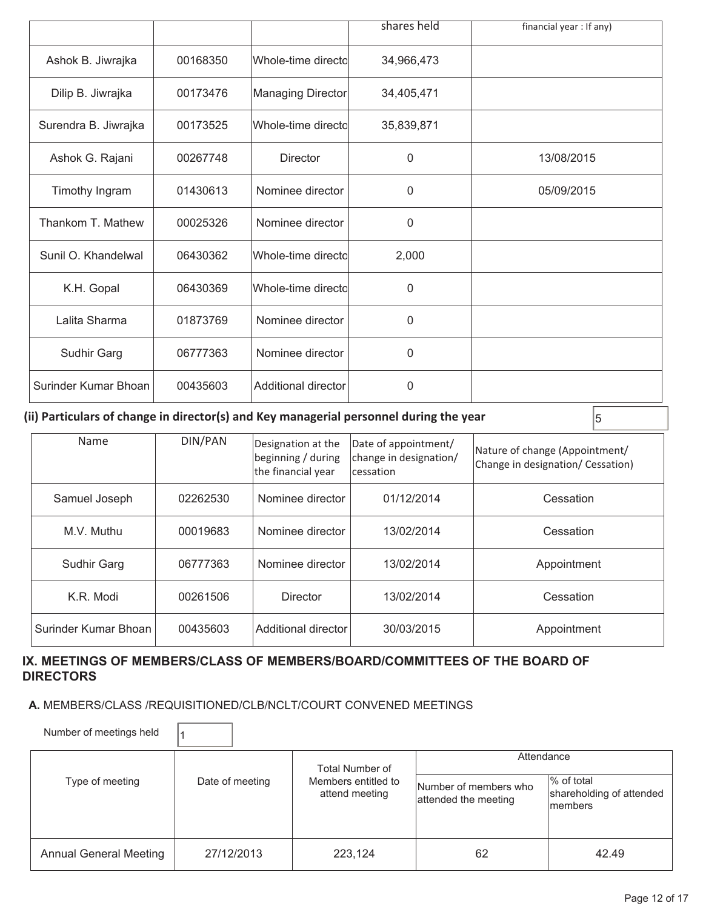|                      |          |                     | shares held  | financial year: If any) |
|----------------------|----------|---------------------|--------------|-------------------------|
| Ashok B. Jiwrajka    | 00168350 | Whole-time directol | 34,966,473   |                         |
| Dilip B. Jiwrajka    | 00173476 | Managing Director   | 34,405,471   |                         |
| Surendra B. Jiwrajka | 00173525 | Whole-time directo  | 35,839,871   |                         |
| Ashok G. Rajani      | 00267748 | <b>Director</b>     | $\mathbf{0}$ | 13/08/2015              |
| Timothy Ingram       | 01430613 | Nominee director    | 0            | 05/09/2015              |
| Thankom T. Mathew    | 00025326 | Nominee director    | 0            |                         |
| Sunil O. Khandelwal  | 06430362 | Whole-time directol | 2,000        |                         |
| K.H. Gopal           | 06430369 | Whole-time directo  | 0            |                         |
| Lalita Sharma        | 01873769 | Nominee director    | $\Omega$     |                         |
| Sudhir Garg          | 06777363 | Nominee director    | $\Omega$     |                         |
| Surinder Kumar Bhoan | 00435603 | Additional director | 0            |                         |

**(ii) Particulars of change in director(s) and Key managerial personnel during the year**  $\vert$ **<sub>5</sub>** 

| Name                 | DIN/PAN  | Designation at the<br>beginning / during<br>the financial year | Date of appointment/<br>change in designation/<br>cessation | Nature of change (Appointment/<br>Change in designation/ Cessation) |
|----------------------|----------|----------------------------------------------------------------|-------------------------------------------------------------|---------------------------------------------------------------------|
| Samuel Joseph        | 02262530 | Nominee director                                               | 01/12/2014                                                  | Cessation                                                           |
| M.V. Muthu           | 00019683 | Nominee director                                               | 13/02/2014                                                  | Cessation                                                           |
| <b>Sudhir Garg</b>   | 06777363 | Nominee director                                               | 13/02/2014                                                  | Appointment                                                         |
| K.R. Modi            | 00261506 | Director                                                       | 13/02/2014                                                  | Cessation                                                           |
| Surinder Kumar Bhoan | 00435603 | Additional director                                            | 30/03/2015                                                  | Appointment                                                         |

#### **IX. MEETINGS OF MEMBERS/CLASS OF MEMBERS/BOARD/COMMITTEES OF THE BOARD OF DIRECTORS**

#### **A.** MEMBERS/CLASS /REQUISITIONED/CLB/NCLT/COURT CONVENED MEETINGS

Number of meetings held  $\vert$ <sup>1</sup>

|                        |                 | Total Number of                       | Attendance                                    |                                                    |  |
|------------------------|-----------------|---------------------------------------|-----------------------------------------------|----------------------------------------------------|--|
| Type of meeting        | Date of meeting | Members entitled to<br>attend meeting | Number of members who<br>attended the meeting | % of total<br>shareholding of attended<br>Imembers |  |
| Annual General Meeting | 27/12/2013      | 223.124                               | 62                                            | 42.49                                              |  |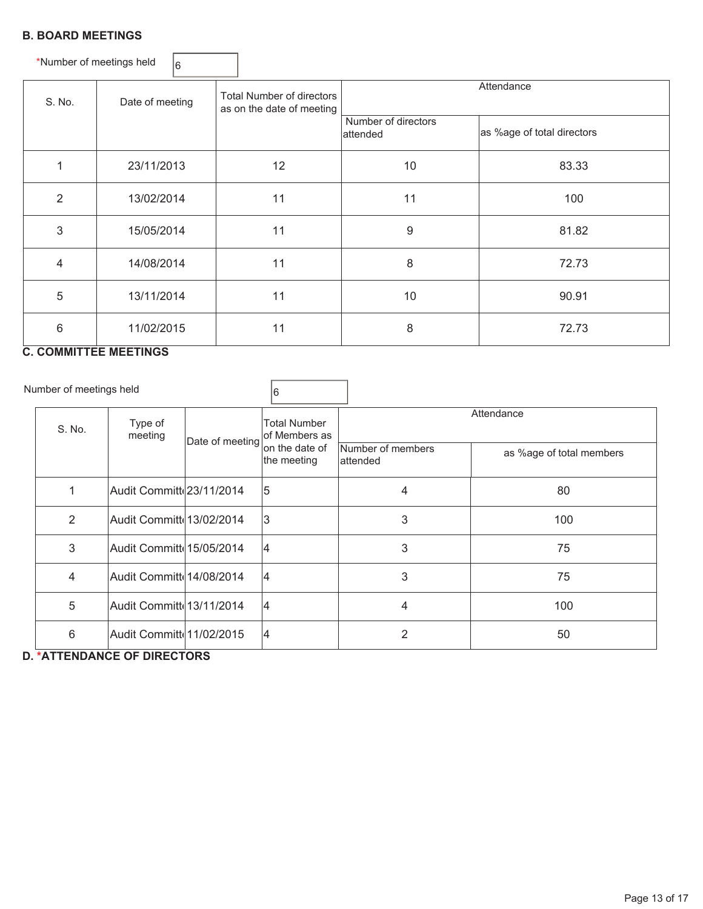#### **B. BOARD MEETINGS**

| *Number of meetings held |                 | 16         |                                                               |                                 |                            |       |       |
|--------------------------|-----------------|------------|---------------------------------------------------------------|---------------------------------|----------------------------|-------|-------|
| S. No.                   | Date of meeting |            | <b>Total Number of directors</b><br>as on the date of meeting |                                 | Attendance                 |       |       |
|                          |                 |            |                                                               | Number of directors<br>attended | as %age of total directors |       |       |
|                          | 23/11/2013      |            | 12<br>10                                                      |                                 | 83.33                      |       |       |
| $\overline{2}$           | 13/02/2014      |            | 11                                                            |                                 | 100                        |       |       |
| 3                        |                 | 15/05/2014 |                                                               | $9\,$                           | 81.82                      |       |       |
| 4                        | 14/08/2014      |            | 11                                                            | 8                               | 72.73                      |       |       |
| 5                        | 13/11/2014      |            | 11                                                            |                                 | 10                         | 90.91 |       |
| 6                        | 11/02/2015      |            |                                                               |                                 | 11                         | 8     | 72.73 |

## **C. COMMITTEE MEETINGS**

Number of meetings held  $\sqrt{6}$ 

| S. No. | Type of<br>meeting        | Date of meeting | Total Number<br>lof Members as |                                | Attendance               |  |  |
|--------|---------------------------|-----------------|--------------------------------|--------------------------------|--------------------------|--|--|
|        |                           |                 | on the date of<br>the meeting  | Number of members<br>lattended | as %age of total members |  |  |
| 1      | Audit Committ 23/11/2014  |                 | 15                             | 4                              | 80                       |  |  |
| 2      | Audit Committe 13/02/2014 |                 | 13                             | 3                              | 100                      |  |  |
| 3      | Audit Committe 15/05/2014 |                 | 14                             | 3                              | 75                       |  |  |
| 4      | Audit Committ 14/08/2014  |                 | 14                             | 3                              | 75                       |  |  |
| 5      | Audit Committe 13/11/2014 |                 | 14                             | 4                              | 100                      |  |  |
| 6      | Audit Committd11/02/2015  |                 | 14                             | $\overline{2}$                 | 50                       |  |  |

**D. \*ATTENDANCE OF DIRECTORS**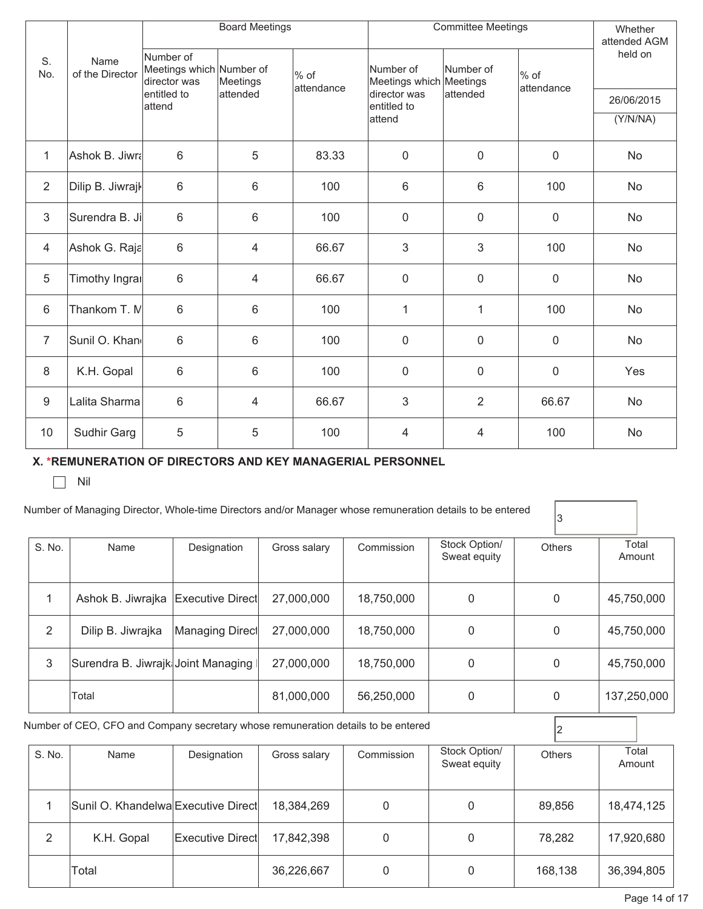|                |                         | <b>Committee Meetings</b><br><b>Board Meetings</b>    |                |                    |                                      |                |                      | Whether<br>attended AGM |
|----------------|-------------------------|-------------------------------------------------------|----------------|--------------------|--------------------------------------|----------------|----------------------|-------------------------|
| S.<br>No.      | Name<br>of the Director | Number of<br>Meetings which Number of<br>director was | Meetings       | % of<br>attendance | Number of<br>Meetings which Meetings | Number of      | $%$ of<br>attendance | held on                 |
|                |                         | entitled to<br>attend                                 | lattended      |                    | director was<br>entitled to          | attended       |                      | 26/06/2015              |
|                |                         |                                                       |                |                    | attend                               |                |                      | (Y/N/NA)                |
| $\mathbf{1}$   | Ashok B. Jiwra          | $6\phantom{1}$                                        | 5              | 83.33              | $\mathbf 0$                          | $\mathsf 0$    | $\mathbf 0$          | No                      |
| $\overline{2}$ | Dilip B. Jiwrajk        | 6                                                     | 6              | 100                | 6                                    | 6              | 100                  | No                      |
| $\mathfrak{S}$ | Surendra B. Ji          | 6                                                     | $\,6\,$        | 100                | $\overline{0}$                       | $\mathsf 0$    | $\overline{0}$       | No                      |
| 4              | Ashok G. Raja           | 6                                                     | 4              | 66.67              | 3                                    | $\mathfrak{S}$ | 100                  | <b>No</b>               |
| 5              | Timothy Ingrai          | 6                                                     | 4              | 66.67              | $\overline{0}$                       | $\mathbf 0$    | $\overline{0}$       | No                      |
| 6              | Thankom T. M            | 6                                                     | $6\phantom{1}$ | 100                | 1                                    | $\mathbf{1}$   | 100                  | No                      |
| $\overline{7}$ | Sunil O. Khan           | $6\phantom{1}$                                        | $6\phantom{1}$ | 100                | $\mathbf 0$                          | $\mathbf 0$    | $\overline{0}$       | No                      |
| 8              | K.H. Gopal              | 6                                                     | $\,6\,$        | 100                | $\mathbf 0$                          | 0              | $\mathbf 0$          | Yes                     |
| $9\,$          | Lalita Sharma           | 6                                                     | 4              | 66.67              | 3                                    | $\overline{2}$ | 66.67                | No                      |
| 10             | Sudhir Garg             | 5                                                     | 5              | 100                | 4                                    | 4              | 100                  | No                      |

### **X. \*REMUNERATION OF DIRECTORS AND KEY MANAGERIAL PERSONNEL**

 $\Box$  Nil

#### Number of Managing Director, Whole-time Directors and/or Manager whose remuneration details to be entered

 $|<sub>3</sub>$ 

| S. No. | Name                                 | Designation     | Gross salary | Commission | Stock Option/<br>Sweat equity | <b>Others</b> | Total<br>Amount |
|--------|--------------------------------------|-----------------|--------------|------------|-------------------------------|---------------|-----------------|
|        | Ashok B. Jiwrajka   Executive Direct |                 | 27,000,000   | 18,750,000 | 0                             | 0             | 45,750,000      |
| 2      | Dilip B. Jiwrajka                    | Managing Direct | 27,000,000   | 18,750,000 | 0                             | 0             | 45,750,000      |
| 3      | Surendra B. Jiwrajk Joint Managing I |                 | 27,000,000   | 18,750,000 | $\Omega$                      | 0             | 45,750,000      |
|        | Total                                |                 | 81,000,000   | 56,250,000 | 0                             | 0             | 137,250,000     |

Number of CEO, CFO and Company secretary whose remuneration details to be entered  $\boxed{2}$ 

| S. No. | Name                                | Designation             | Gross salary | Commission | Stock Option/<br>Sweat equity | <b>Others</b> | Total<br>Amount |
|--------|-------------------------------------|-------------------------|--------------|------------|-------------------------------|---------------|-----------------|
|        | Sunil O. Khandelwa Executive Direct |                         | 18,384,269   | 0          |                               | 89,856        | 18,474,125      |
| っ      | K.H. Gopal                          | <b>Executive Direct</b> | 17,842,398   | 0          | 0                             | 78,282        | 17,920,680      |
|        | Total                               |                         | 36,226,667   | 0          |                               | 168,138       | 36,394,805      |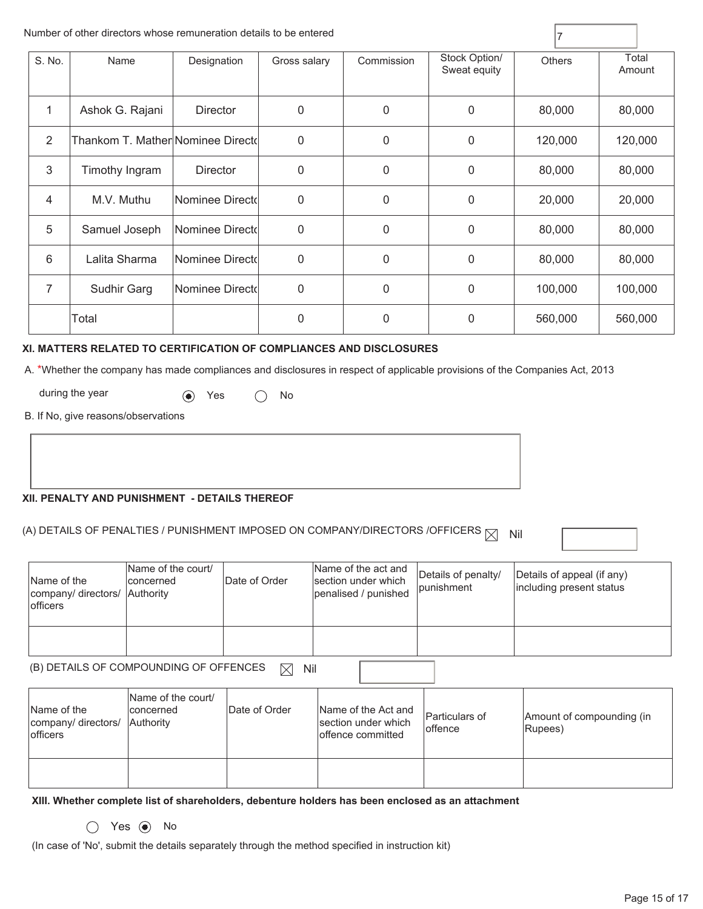|        | Number of other directors whose remuneration details to be entered |                 |              |              |                               |         |                 |
|--------|--------------------------------------------------------------------|-----------------|--------------|--------------|-------------------------------|---------|-----------------|
| S. No. | Name                                                               | Designation     | Gross salary | Commission   | Stock Option/<br>Sweat equity | Others  | Total<br>Amount |
| 1      | Ashok G. Rajani                                                    | <b>Director</b> | 0            | 0            | 0                             | 80,000  | 80,000          |
| 2      | Thankom T. Mather∣Nominee Directd                                  |                 | 0            | 0            | 0                             | 120,000 | 120,000         |
| 3      | Timothy Ingram                                                     | <b>Director</b> | $\mathbf{0}$ | 0            | $\overline{0}$                | 80,000  | 80,000          |
| 4      | M.V. Muthu                                                         | Nominee Directd | 0            | 0            | 0                             | 20,000  | 20,000          |
| 5      | Samuel Joseph                                                      | Nominee Directd | 0            | 0            | 0                             | 80,000  | 80,000          |
| 6      | Lalita Sharma                                                      | Nominee Directd | $\mathbf{0}$ | $\mathbf{0}$ | 0                             | 80,000  | 80,000          |
| 7      | Sudhir Garg                                                        | Nominee Directd | 0            | 0            | 0                             | 100,000 | 100,000         |
|        | Total                                                              |                 | 0            | 0            | 0                             | 560,000 | 560,000         |

#### **XI. MATTERS RELATED TO CERTIFICATION OF COMPLIANCES AND DISCLOSURES**

A. \*Whether the company has made compliances and disclosures in respect of applicable provisions of the Companies Act, 2013

during the year  $\qquad \qquad \bullet$  Yes  $\qquad \bigcirc$  No

B. If No, give reasons/observations

#### **XII. PENALTY AND PUNISHMENT - DETAILS THEREOF**

(A) DETAILS OF PENALTIES / PUNISHMENT IMPOSED ON COMPANY/DIRECTORS /OFFICERS  $\boxtimes$  Nil

| Name of the<br>company/ directors/ Authority<br><b>lofficers</b> | Name of the court/<br>Iconcerned | Date of Order | Name of the act and<br>section under which<br>penalised / punished | Details of penalty/<br>punishment | Details of appeal (if any)<br>including present status |
|------------------------------------------------------------------|----------------------------------|---------------|--------------------------------------------------------------------|-----------------------------------|--------------------------------------------------------|
|                                                                  |                                  |               |                                                                    |                                   |                                                        |

 (B) DETAILS OF COMPOUNDING OF OFFENCES  $\boxtimes$  Nil

| Name of the<br>company/ directors/ Authority<br><b>officers</b> | Name of the court/<br>Iconcerned | Date of Order | Name of the Act and<br>section under which<br>loffence committed | Particulars of<br>loffence | Amount of compounding (in<br>Rupees) |
|-----------------------------------------------------------------|----------------------------------|---------------|------------------------------------------------------------------|----------------------------|--------------------------------------|
|                                                                 |                                  |               |                                                                  |                            |                                      |

**XIII. Whether complete list of shareholders, debenture holders has been enclosed as an attachment** 

 $O$  Yes  $\odot$  No

(In case of 'No', submit the details separately through the method specified in instruction kit)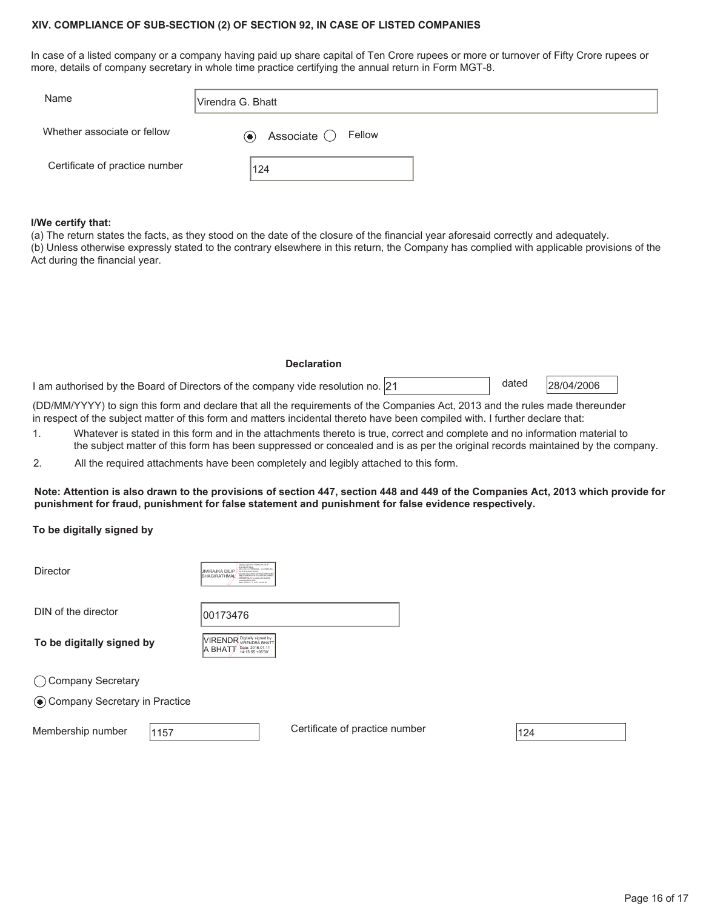#### **XIV. COMPLIANCE OF SUB-SECTION (2) OF SECTION 92, IN CASE OF LISTED COMPANIES**

In case of a listed company or a company having paid up share capital of Ten Crore rupees or more or turnover of Fifty Crore rupees or more, details of company secretary in whole time practice certifying the annual return in Form MGT-8.

| Name                           | lVirendra G. Bhatt                     |
|--------------------------------|----------------------------------------|
| Whether associate or fellow    | Associate $\bigcirc$ Fellow<br>$\odot$ |
| Certificate of practice number | 124                                    |

#### **I/We certify that:**

(a) The return states the facts, as they stood on the date of the closure of the financial year aforesaid correctly and adequately. (b) Unless otherwise expressly stated to the contrary elsewhere in this return, the Company has complied with applicable provisions of the Act during the financial year.

#### **Declaration**

I am authorised by the Board of Directors of the company vide resolution no.  $21$   $\qquad$   $\qquad$   $\qquad$  dated  $\qquad$   $28/04/2006$ 

dated

(DD/MM/YYYY) to sign this form and declare that all the requirements of the Companies Act, 2013 and the rules made thereunder in respect of the subject matter of this form and matters incidental thereto have been compiled with. I further declare that:

- 1. Whatever is stated in this form and in the attachments thereto is true, correct and complete and no information material to the subject matter of this form has been suppressed or concealed and is as per the original records maintained by the company.
- 2. All the required attachments have been completely and legibly attached to this form.

**Note: Attention is also drawn to the provisions of section 447, section 448 and 449 of the Companies Act, 2013 which provide for punishment for fraud, punishment for false statement and punishment for false evidence respectively.** 

**To be digitally signed by** 

| <b>Director</b>                 | Distaty stated by JIMPA BA DILIP<br><b>BHASINATHAMS</b><br>DI ORLANDICANL<br>LIIWRA.IKA DII IP<br><b>MAGAZIN AND AND PREPARATIONS PRE-</b><br>BHAGIRATHMAL<br><b>GMZAKSIDIEFDE1CEM2EMIAMBS</b><br>INVESTIGAT, excellence + 000008<br><b>JOANNAMARACHTER</b><br>Date: 2016.01.11 12:01:14 +0030 |                                |     |
|---------------------------------|------------------------------------------------------------------------------------------------------------------------------------------------------------------------------------------------------------------------------------------------------------------------------------------------|--------------------------------|-----|
| DIN of the director             | 00173476                                                                                                                                                                                                                                                                                       |                                |     |
| To be digitally signed by       | VIRENDR Digitally signed by<br>Date: 2016.01.11<br>A BHATT<br>14:13:55 +05'30"                                                                                                                                                                                                                 |                                |     |
| ◯ Company Secretary             |                                                                                                                                                                                                                                                                                                |                                |     |
| ◉ Company Secretary in Practice |                                                                                                                                                                                                                                                                                                |                                |     |
| Membership number<br>1157       |                                                                                                                                                                                                                                                                                                | Certificate of practice number | 124 |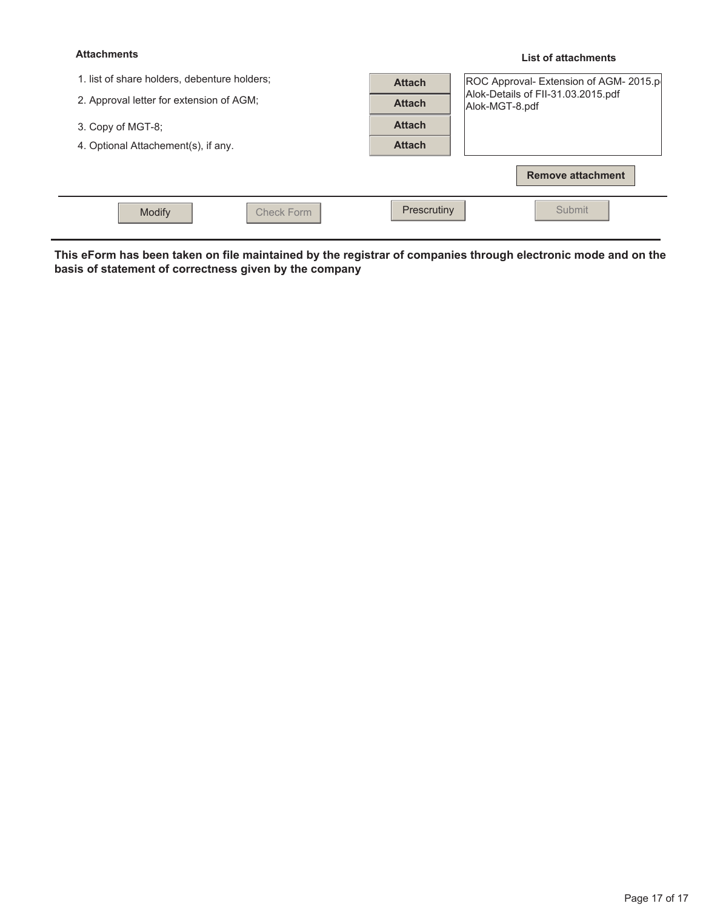#### **Attachments**

#### **List of attachments**

| 1. list of share holders, debenture holders;<br>2. Approval letter for extension of AGM; | <b>Attach</b><br><b>Attach</b> | ROC Approval- Extension of AGM- 2015.p<br>Alok-Details of FII-31.03.2015.pdf<br>Alok-MGT-8.pdf |
|------------------------------------------------------------------------------------------|--------------------------------|------------------------------------------------------------------------------------------------|
| 3. Copy of MGT-8;                                                                        | <b>Attach</b>                  |                                                                                                |
| 4. Optional Attachement(s), if any.                                                      | <b>Attach</b>                  |                                                                                                |
|                                                                                          |                                | <b>Remove attachment</b>                                                                       |
| Modify<br><b>Check Form</b>                                                              | Prescrutiny                    | Submit                                                                                         |

**This eForm has been taken on file maintained by the registrar of companies through electronic mode and on the basis of statement of correctness given by the company**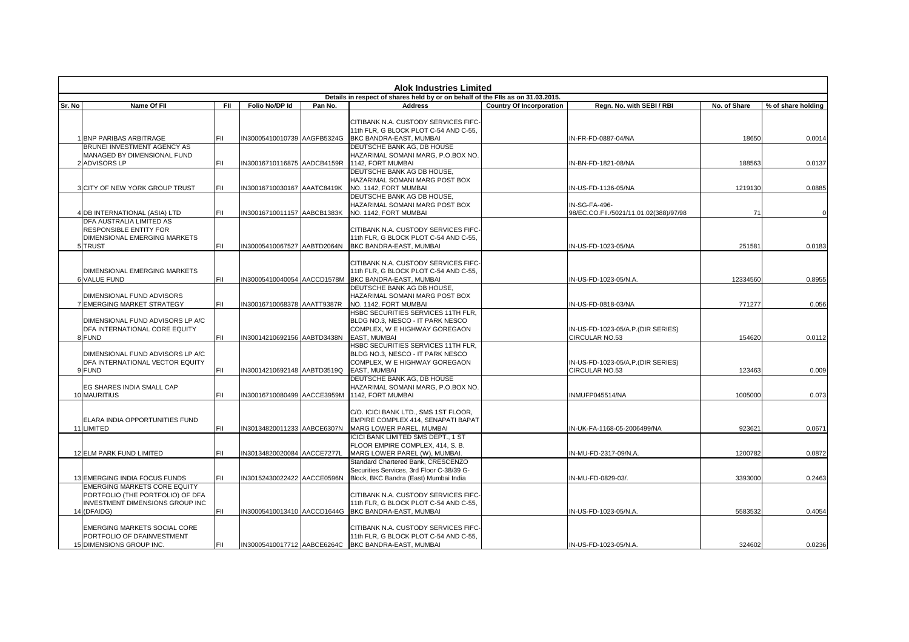|                                                                                 | <b>Alok Industries Limited</b>      |            |                             |         |                                                                        |                                 |                                        |              |                    |
|---------------------------------------------------------------------------------|-------------------------------------|------------|-----------------------------|---------|------------------------------------------------------------------------|---------------------------------|----------------------------------------|--------------|--------------------|
| Details in respect of shares held by or on behalf of the FIIs as on 31.03.2015. |                                     |            |                             |         |                                                                        |                                 |                                        |              |                    |
| Sr. No                                                                          | Name Of FII                         | <b>FII</b> | Folio No/DP Id              | Pan No. | <b>Address</b>                                                         | <b>Country Of Incorporation</b> | Regn. No. with SEBI / RBI              | No. of Share | % of share holding |
|                                                                                 |                                     |            |                             |         |                                                                        |                                 |                                        |              |                    |
|                                                                                 |                                     |            |                             |         | CITIBANK N.A. CUSTODY SERVICES FIFC-                                   |                                 |                                        |              |                    |
|                                                                                 |                                     |            |                             |         | 11th FLR, G BLOCK PLOT C-54 AND C-55,                                  |                                 |                                        |              |                    |
|                                                                                 | 1 BNP PARIBAS ARBITRAGE             | FIL        | IN30005410010739 AAGFB5324G |         | BKC BANDRA-EAST, MUMBAI                                                |                                 | IN-FR-FD-0887-04/NA                    | 18650        | 0.0014             |
|                                                                                 | BRUNEI INVESTMENT AGENCY AS         |            |                             |         | DEUTSCHE BANK AG, DB HOUSE                                             |                                 |                                        |              |                    |
|                                                                                 | MANAGED BY DIMENSIONAL FUND         |            |                             |         | HAZARIMAL SOMANI MARG, P.O.BOX NO.                                     |                                 |                                        |              |                    |
|                                                                                 | 2 ADVISORS LP                       | FII.       | IN30016710116875 AADCB4159R |         | 1142. FORT MUMBAI                                                      |                                 | IN-BN-FD-1821-08/NA                    | 188563       | 0.0137             |
|                                                                                 |                                     |            |                             |         | DEUTSCHE BANK AG DB HOUSE,                                             |                                 |                                        |              |                    |
|                                                                                 |                                     |            |                             |         | HAZARIMAL SOMANI MARG POST BOX                                         |                                 |                                        |              |                    |
|                                                                                 | 3 CITY OF NEW YORK GROUP TRUST      | FII.       | IN30016710030167 AAATC8419K |         | NO. 1142, FORT MUMBAI                                                  |                                 | IN-US-FD-1136-05/NA                    | 1219130      | 0.0885             |
|                                                                                 |                                     |            |                             |         | DEUTSCHE BANK AG DB HOUSE,                                             |                                 |                                        |              |                    |
|                                                                                 |                                     |            |                             |         | HAZARIMAL SOMANI MARG POST BOX                                         |                                 | IN-SG-FA-496-                          |              |                    |
|                                                                                 | 4 DB INTERNATIONAL (ASIA) LTD       | <b>FIL</b> | IN30016710011157 AABCB1383K |         | NO. 1142, FORT MUMBAI                                                  |                                 | 98/EC.CO.FII./5021/11.01.02(388)/97/98 | 71           |                    |
|                                                                                 | DFA AUSTRALIA LIMITED AS            |            |                             |         |                                                                        |                                 |                                        |              |                    |
|                                                                                 | <b>RESPONSIBLE ENTITY FOR</b>       |            |                             |         | CITIBANK N.A. CUSTODY SERVICES FIFC-                                   |                                 |                                        |              |                    |
|                                                                                 | DIMENSIONAL EMERGING MARKETS        |            |                             |         | 11th FLR, G BLOCK PLOT C-54 AND C-55,                                  |                                 |                                        |              |                    |
|                                                                                 | 5 TRUST                             | FIL        | IN30005410067527 AABTD2064N |         | BKC BANDRA-EAST, MUMBAI                                                |                                 | IN-US-FD-1023-05/NA                    | 251581       | 0.0183             |
|                                                                                 |                                     |            |                             |         |                                                                        |                                 |                                        |              |                    |
|                                                                                 |                                     |            |                             |         | CITIBANK N.A. CUSTODY SERVICES FIFC-                                   |                                 |                                        |              |                    |
|                                                                                 | DIMENSIONAL EMERGING MARKETS        |            |                             |         | 11th FLR, G BLOCK PLOT C-54 AND C-55,                                  |                                 |                                        |              |                    |
|                                                                                 | <b>6 VALUE FUND</b>                 | FIL        | IN30005410040054 AACCD1578M |         | BKC BANDRA-EAST, MUMBAI                                                |                                 | IN-US-FD-1023-05/N.A.                  | 12334560     | 0.8955             |
|                                                                                 |                                     |            |                             |         | DEUTSCHE BANK AG DB HOUSE,                                             |                                 |                                        |              |                    |
|                                                                                 | DIMENSIONAL FUND ADVISORS           |            |                             |         | HAZARIMAL SOMANI MARG POST BOX                                         |                                 |                                        |              |                    |
|                                                                                 | 7 EMERGING MARKET STRATEGY          | FII.       | N30016710068378 AAATT9387R  |         | NO. 1142, FORT MUMBAI                                                  |                                 | IN-US-FD-0818-03/NA                    | 771277       | 0.056              |
|                                                                                 |                                     |            |                             |         | HSBC SECURITIES SERVICES 11TH FLR,                                     |                                 |                                        |              |                    |
|                                                                                 | DIMENSIONAL FUND ADVISORS LP A/C    |            |                             |         | BLDG NO.3, NESCO - IT PARK NESCO                                       |                                 |                                        |              |                    |
|                                                                                 | DFA INTERNATIONAL CORE EQUITY       | <b>FIL</b> |                             |         | COMPLEX. W E HIGHWAY GOREGAON<br><b>EAST. MUMBAI</b>                   |                                 | IN-US-FD-1023-05/A.P.(DIR SERIES)      |              |                    |
|                                                                                 | 8 FUND                              |            | IN30014210692156 AABTD3438N |         |                                                                        |                                 | <b>CIRCULAR NO.53</b>                  | 154620       | 0.0112             |
|                                                                                 | DIMENSIONAL FUND ADVISORS LP A/C    |            |                             |         | HSBC SECURITIES SERVICES 11TH FLR,<br>BLDG NO.3, NESCO - IT PARK NESCO |                                 |                                        |              |                    |
|                                                                                 | DFA INTERNATIONAL VECTOR EQUITY     |            |                             |         | COMPLEX, W E HIGHWAY GOREGAON                                          |                                 | IN-US-FD-1023-05/A.P.(DIR SERIES)      |              |                    |
|                                                                                 | 9 FUND                              | FIL        | IN30014210692148 AABTD3519Q |         | <b>EAST. MUMBAI</b>                                                    |                                 | CIRCULAR NO.53                         | 123463       | 0.009              |
|                                                                                 |                                     |            |                             |         | DEUTSCHE BANK AG, DB HOUSE                                             |                                 |                                        |              |                    |
|                                                                                 | EG SHARES INDIA SMALL CAP           |            |                             |         | HAZARIMAL SOMANI MARG, P.O.BOX NO.                                     |                                 |                                        |              |                    |
|                                                                                 | 10 MAURITIUS                        | FII.       | IN30016710080499 AACCE3959M |         | 1142, FORT MUMBAI                                                      |                                 | INMUFP045514/NA                        | 1005000      | 0.073              |
|                                                                                 |                                     |            |                             |         |                                                                        |                                 |                                        |              |                    |
|                                                                                 |                                     |            |                             |         | C/O. ICICI BANK LTD., SMS 1ST FLOOR,                                   |                                 |                                        |              |                    |
|                                                                                 | ELARA INDIA OPPORTUNITIES FUND      |            |                             |         | EMPIRE COMPLEX 414, SENAPATI BAPAT                                     |                                 |                                        |              |                    |
|                                                                                 | 11 LIMITED                          | FII        | IN30134820011233 AABCE6307N |         | MARG LOWER PAREL, MUMBAI                                               |                                 | IN-UK-FA-1168-05-2006499/NA            | 923621       | 0.0671             |
|                                                                                 |                                     |            |                             |         | <b>ICICI BANK LIMITED SMS DEPT 1 ST</b>                                |                                 |                                        |              |                    |
|                                                                                 |                                     |            |                             |         | FLOOR EMPIRE COMPLEX, 414, S.B.                                        |                                 |                                        |              |                    |
|                                                                                 | 12 ELM PARK FUND LIMITED            | FII.       | IN30134820020084 AACCE7277L |         | MARG LOWER PAREL (W), MUMBAI.                                          |                                 | IN-MU-FD-2317-09/N.A.                  | 1200782      | 0.0872             |
|                                                                                 |                                     |            |                             |         | Standard Chartered Bank, CRESCENZO                                     |                                 |                                        |              |                    |
|                                                                                 |                                     |            |                             |         | Securities Services, 3rd Floor C-38/39 G-                              |                                 |                                        |              |                    |
|                                                                                 | 13 EMERGING INDIA FOCUS FUNDS       | FII.       | IN30152430022422 AACCE0596N |         | Block, BKC Bandra (East) Mumbai India                                  |                                 | IN-MU-FD-0829-03/.                     | 3393000      | 0.2463             |
|                                                                                 | <b>EMERGING MARKETS CORE EQUITY</b> |            |                             |         |                                                                        |                                 |                                        |              |                    |
|                                                                                 | PORTFOLIO (THE PORTFOLIO) OF DFA    |            |                             |         | CITIBANK N.A. CUSTODY SERVICES FIFC-                                   |                                 |                                        |              |                    |
|                                                                                 | INVESTMENT DIMENSIONS GROUP INC     |            |                             |         | 11th FLR, G BLOCK PLOT C-54 AND C-55,                                  |                                 |                                        |              |                    |
|                                                                                 | 14 (DFAIDG)                         | FII        | IN30005410013410 AACCD1644G |         | BKC BANDRA-EAST, MUMBAI                                                |                                 | IN-US-FD-1023-05/N.A.                  | 5583532      | 0.4054             |
|                                                                                 |                                     |            |                             |         |                                                                        |                                 |                                        |              |                    |
|                                                                                 | <b>EMERGING MARKETS SOCIAL CORE</b> |            |                             |         | CITIBANK N.A. CUSTODY SERVICES FIFC-                                   |                                 |                                        |              |                    |
|                                                                                 | PORTFOLIO OF DFAINVESTMENT          |            |                             |         | 11th FLR, G BLOCK PLOT C-54 AND C-55,                                  |                                 |                                        |              |                    |
|                                                                                 | 15 DIMENSIONS GROUP INC.            | FII        | IN30005410017712 AABCE6264C |         | BKC BANDRA-EAST, MUMBAI                                                |                                 | IN-US-FD-1023-05/N.A.                  | 324602       | 0.0236             |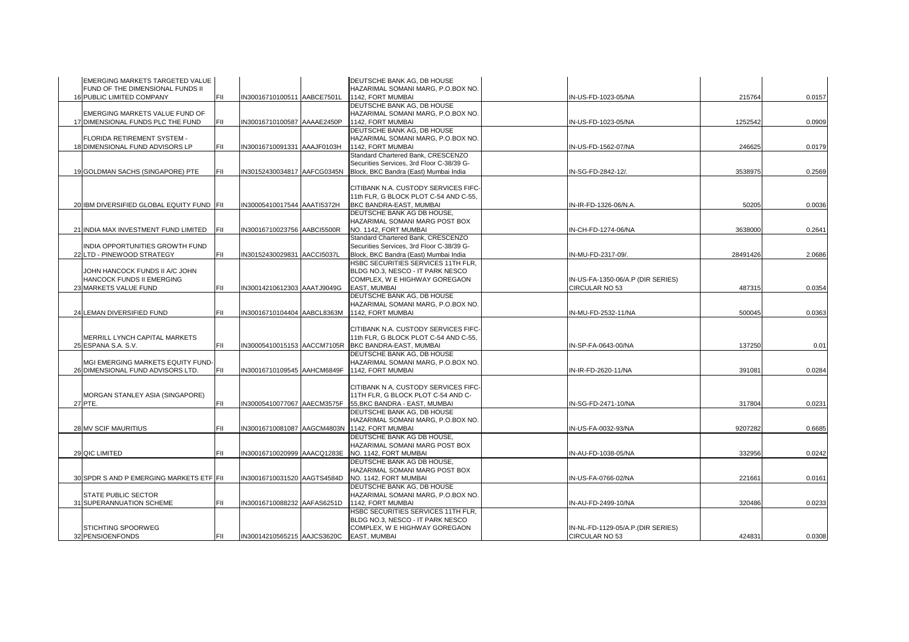| EMERGING MARKETS TARGETED VALUE                                        |      |                             | DEUTSCHE BANK AG, DB HOUSE                              |                                   |          |        |
|------------------------------------------------------------------------|------|-----------------------------|---------------------------------------------------------|-----------------------------------|----------|--------|
| FUND OF THE DIMENSIONAL FUNDS II                                       |      |                             | HAZARIMAL SOMANI MARG, P.O.BOX NO.                      |                                   |          |        |
| 16 PUBLIC LIMITED COMPANY                                              | FII. | IN30016710100511 AABCE7501L | 1142, FORT MUMBAI                                       | IN-US-FD-1023-05/NA               | 215764   | 0.0157 |
|                                                                        |      |                             | DEUTSCHE BANK AG. DB HOUSE                              |                                   |          |        |
| EMERGING MARKETS VALUE FUND OF                                         |      |                             | HAZARIMAL SOMANI MARG, P.O.BOX NO.                      |                                   |          |        |
| 17 DIMENSIONAL FUNDS PLC THE FUND                                      | FII. | IN30016710100587 AAAAE2450P | 1142, FORT MUMBAI                                       | IN-US-FD-1023-05/NA               | 1252542  | 0.0909 |
|                                                                        |      |                             | DEUTSCHE BANK AG, DB HOUSE                              |                                   |          |        |
| FLORIDA RETIREMENT SYSTEM -                                            |      |                             | HAZARIMAL SOMANI MARG, P.O.BOX NO.                      |                                   |          |        |
| 18 DIMENSIONAL FUND ADVISORS LP                                        | FIL  | IN30016710091331 AAAJF0103H | 1142, FORT MUMBAI                                       | IN-US-FD-1562-07/NA               | 246625   | 0.0179 |
|                                                                        |      |                             | Standard Chartered Bank, CRESCENZO                      |                                   |          |        |
| 19 GOLDMAN SACHS (SINGAPORE) PTE                                       |      | IN30152430034817 AAFCG0345N | Securities Services, 3rd Floor C-38/39 G-               | IN-SG-FD-2842-12/.                | 3538975  | 0.2569 |
|                                                                        | FII  |                             | Block, BKC Bandra (East) Mumbai India                   |                                   |          |        |
|                                                                        |      |                             | CITIBANK N.A. CUSTODY SERVICES FIFC-                    |                                   |          |        |
|                                                                        |      |                             | 11th FLR, G BLOCK PLOT C-54 AND C-55,                   |                                   |          |        |
| 20 IBM DIVERSIFIED GLOBAL EQUITY FUND FII                              |      | IN30005410017544 AAATI5372H | BKC BANDRA-EAST, MUMBAI                                 | IN-IR-FD-1326-06/N.A.             | 50205    | 0.0036 |
|                                                                        |      |                             | DEUTSCHE BANK AG DB HOUSE.                              |                                   |          |        |
|                                                                        |      |                             | HAZARIMAL SOMANI MARG POST BOX                          |                                   |          |        |
| 21 INDIA MAX INVESTMENT FUND LIMITED                                   | FII  | IN30016710023756 AABCI5500R | NO. 1142, FORT MUMBAI                                   | IN-CH-FD-1274-06/NA               | 3638000  | 0.2641 |
|                                                                        |      |                             | Standard Chartered Bank, CRESCENZO                      |                                   |          |        |
| INDIA OPPORTUNITIES GROWTH FUND                                        |      |                             | Securities Services, 3rd Floor C-38/39 G-               |                                   |          |        |
| 22 LTD - PINEWOOD STRATEGY                                             | FII  | IN30152430029831 AACCI5037L | Block, BKC Bandra (East) Mumbai India                   | IN-MU-FD-2317-09/.                | 28491426 | 2.0686 |
|                                                                        |      |                             | HSBC SECURITIES SERVICES 11TH FLR.                      |                                   |          |        |
| JOHN HANCOCK FUNDS II A/C JOHN                                         |      |                             | BLDG NO.3, NESCO - IT PARK NESCO                        |                                   |          |        |
| HANCOCK FUNDS II EMERGING                                              |      |                             | COMPLEX, W E HIGHWAY GOREGAON                           | IN-US-FA-1350-06/A.P (DIR SERIES) |          |        |
| 23 MARKETS VALUE FUND                                                  | FII  | IN30014210612303 AAATJ9049G | <b>EAST, MUMBAI</b>                                     | CIRCULAR NO 53                    | 487315   | 0.0354 |
|                                                                        |      |                             | DEUTSCHE BANK AG, DB HOUSE                              |                                   |          |        |
|                                                                        |      |                             | HAZARIMAL SOMANI MARG, P.O.BOX NO.                      |                                   |          |        |
| 24 LEMAN DIVERSIFIED FUND                                              |      | IN30016710104404 AABCL8363M | 1142. FORT MUMBAI                                       | IN-MU-FD-2532-11/NA               | 500045   | 0.0363 |
|                                                                        |      |                             |                                                         |                                   |          |        |
|                                                                        |      |                             | CITIBANK N.A. CUSTODY SERVICES FIFC-                    |                                   |          |        |
| MERRILL LYNCH CAPITAL MARKETS                                          |      |                             | 11th FLR, G BLOCK PLOT C-54 AND C-55,                   |                                   |          |        |
| 25 ESPANA S.A. S.V.                                                    | FIL  |                             | IN30005410015153 AACCM7105R BKC BANDRA-EAST, MUMBAI     | IN-SP-FA-0643-00/NA               | 137250   | 0.01   |
|                                                                        |      |                             | DEUTSCHE BANK AG, DB HOUSE                              |                                   |          |        |
| MGI EMERGING MARKETS EQUITY FUND-<br>26 DIMENSIONAL FUND ADVISORS LTD. | FII  | IN30016710109545 AAHCM6849F | HAZARIMAL SOMANI MARG, P.O.BOX NO.<br>1142, FORT MUMBAI | IN-IR-FD-2620-11/NA               | 39108    | 0.0284 |
|                                                                        |      |                             |                                                         |                                   |          |        |
|                                                                        |      |                             | CITIBANK N A, CUSTODY SERVICES FIFC-                    |                                   |          |        |
| MORGAN STANLEY ASIA (SINGAPORE)                                        |      |                             | 11TH FLR, G BLOCK PLOT C-54 AND C-                      |                                   |          |        |
| 27 PTE.                                                                | FII  | IN30005410077067 AAECM3575F | 55, BKC BANDRA - EAST, MUMBAI                           | IN-SG-FD-2471-10/NA               | 317804   | 0.0231 |
|                                                                        |      |                             | DEUTSCHE BANK AG. DB HOUSE                              |                                   |          |        |
|                                                                        |      |                             | HAZARIMAL SOMANI MARG, P.O.BOX NO.                      |                                   |          |        |
| <b>28 MV SCIF MAURITIUS</b>                                            |      |                             | IN30016710081087 AAGCM4803N 1142, FORT MUMBAI           | IN-US-FA-0032-93/NA               | 9207282  | 0.6685 |
|                                                                        |      |                             | DEUTSCHE BANK AG DB HOUSE,                              |                                   |          |        |
|                                                                        |      |                             | HAZARIMAL SOMANI MARG POST BOX                          |                                   |          |        |
| 29 QIC LIMITED                                                         |      | IN30016710020999 AAACQ1283E | NO. 1142. FORT MUMBAI                                   | IN-AU-FD-1038-05/NA               | 332956   | 0.0242 |
|                                                                        |      |                             | DEUTSCHE BANK AG DB HOUSE,                              |                                   |          |        |
|                                                                        |      |                             | HAZARIMAL SOMANI MARG POST BOX                          |                                   |          |        |
| 30 SPDR S AND P EMERGING MARKETS ETF FII                               |      | IN30016710031520 AAGTS4584D | NO. 1142, FORT MUMBAI                                   | IN-US-FA-0766-02/NA               | 22166    | 0.0161 |
|                                                                        |      |                             | DEUTSCHE BANK AG, DB HOUSE                              |                                   |          |        |
| STATE PUBLIC SECTOR                                                    |      |                             | HAZARIMAL SOMANI MARG, P.O.BOX NO.                      |                                   |          |        |
| 31 SUPERANNUATION SCHEME                                               | FII  | IN30016710088232 AAFAS6251D | 1142, FORT MUMBAI                                       | IN-AU-FD-2499-10/NA               | 320486   | 0.0233 |
|                                                                        |      |                             | HSBC SECURITIES SERVICES 11TH FLR,                      |                                   |          |        |
|                                                                        |      |                             | BLDG NO.3, NESCO - IT PARK NESCO                        |                                   |          |        |
| STICHTING SPOORWEG                                                     |      |                             | COMPLEX, W E HIGHWAY GOREGAON                           | IN-NL-FD-1129-05/A.P.(DIR SERIES) |          |        |
| 32 PENSIOENFONDS                                                       | FII  | IN30014210565215 AAJCS3620C | <b>EAST, MUMBAI</b>                                     | CIRCULAR NO 53                    | 424831   | 0.0308 |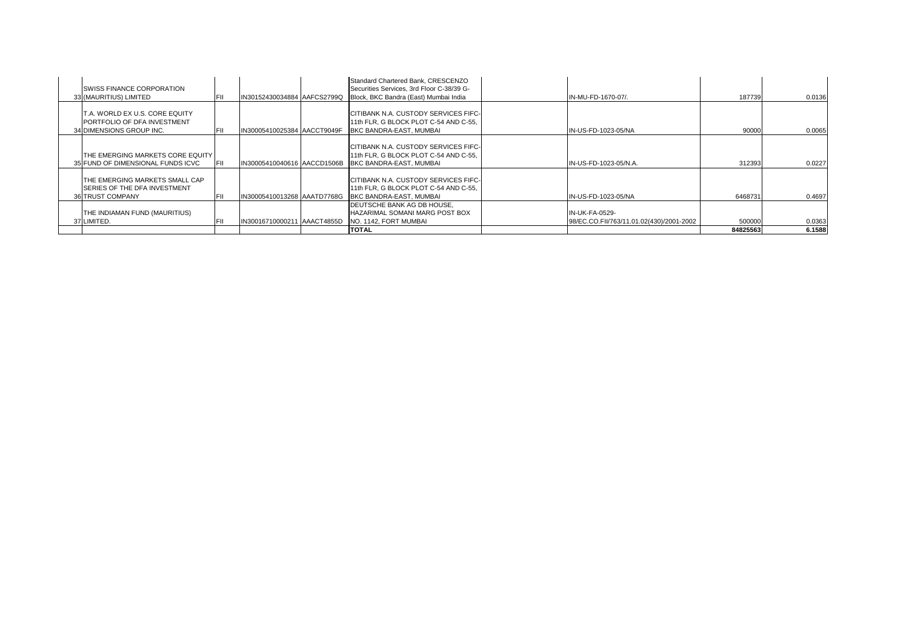| <b>ISWISS FINANCE CORPORATION</b><br>33 (MAURITIUS) LIMITED                                       | FIL   | IN30152430034884 AAFCS2799Q | Standard Chartered Bank, CRESCENZO<br>Securities Services, 3rd Floor C-38/39 G-<br>Block, BKC Bandra (East) Mumbai India | IN-MU-FD-1670-07/.                                         | 187739   | 0.0136 |
|---------------------------------------------------------------------------------------------------|-------|-----------------------------|--------------------------------------------------------------------------------------------------------------------------|------------------------------------------------------------|----------|--------|
| IT.A. WORLD EX U.S. CORE EQUITY<br><b>PORTFOLIO OF DFA INVESTMENT</b><br>34 DIMENSIONS GROUP INC. | lFII. | IN30005410025384 AACCT9049F | CITIBANK N.A. CUSTODY SERVICES FIFC-<br>11th FLR. G BLOCK PLOT C-54 AND C-55.<br>BKC BANDRA-EAST, MUMBAI                 | IN-US-FD-1023-05/NA                                        | 90000    | 0.0065 |
| ITHE EMERGING MARKETS CORE EQUITY I<br>35 FUND OF DIMENSIONAL FUNDS ICVC                          | lFII. | IN30005410040616 AACCD1506B | CITIBANK N.A. CUSTODY SERVICES FIFC-<br>11th FLR, G BLOCK PLOT C-54 AND C-55,<br><b>BKC BANDRA-EAST, MUMBAL</b>          | IN-US-FD-1023-05/N.A.                                      | 312393   | 0.0227 |
| THE EMERGING MARKETS SMALL CAP<br><b>ISERIES OF THE DFA INVESTMENT</b><br><b>36 TRUST COMPANY</b> | FIL   | IN30005410013268 AAATD7768G | CITIBANK N.A. CUSTODY SERVICES FIFC-<br>11th FLR, G BLOCK PLOT C-54 AND C-55,<br><b>BKC BANDRA-EAST, MUMBAL</b>          | IN-US-FD-1023-05/NA                                        | 6468731  | 0.4697 |
| ITHE INDIAMAN FUND (MAURITIUS)<br>37 LIMITED.                                                     | FIL   | IN30016710000211 AAACT4855D | DEUTSCHE BANK AG DB HOUSE.<br>HAZARIMAL SOMANI MARG POST BOX<br>NO. 1142, FORT MUMBAI                                    | IN-UK-FA-0529-<br>98/EC.CO.FII/763/11.01.02(430)/2001-2002 | 500000   | 0.0363 |
|                                                                                                   |       |                             | <b>TOTAL</b>                                                                                                             |                                                            | 84825563 | 6.1588 |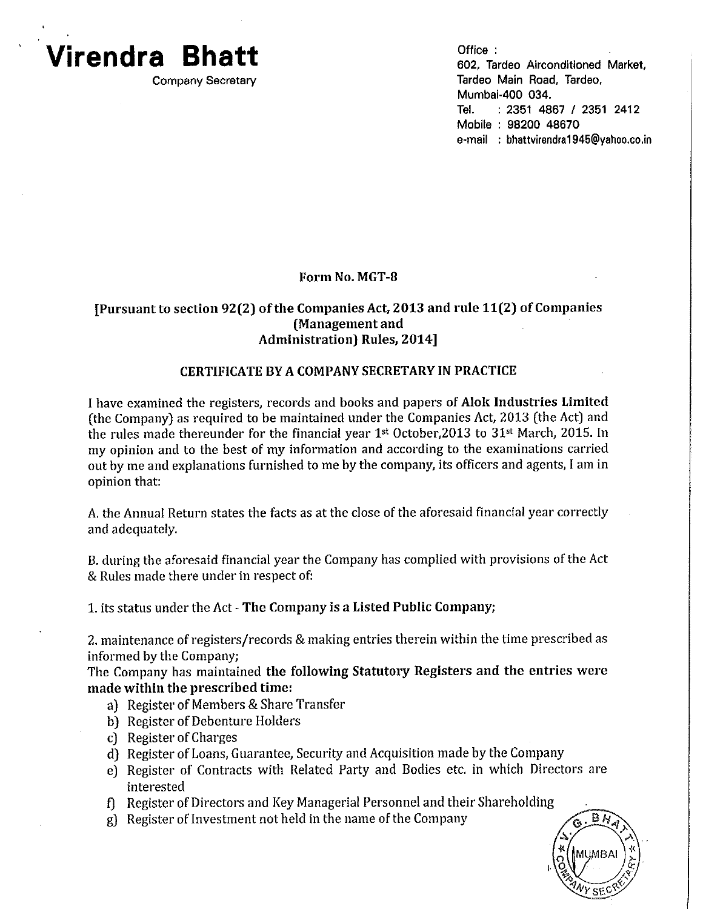# **Virendra Bhatt**

**Company Secretary** 

Office: 602, Tardeo Airconditioned Market, Tardeo Main Road, Tardeo. Mumbai-400 034. Tel.  $: 2351$  4867 / 2351 2412 Mobile: 98200 48670 e-mail : bhattvirendra1945@vahoo.co.in

### Form No. MGT-8

#### [Pursuant to section 92(2) of the Companies Act, 2013 and rule 11(2) of Companies (Management and **Administration**) Rules, 2014]

#### **CERTIFICATE BY A COMPANY SECRETARY IN PRACTICE**

I have examined the registers, records and books and papers of Alok Industries Limited (the Company) as required to be maintained under the Companies Act, 2013 (the Act) and the rules made thereunder for the financial year 1<sup>st</sup> October, 2013 to 31<sup>st</sup> March, 2015. In my opinion and to the best of my information and according to the examinations carried out by me and explanations furnished to me by the company, its officers and agents, I am in opinion that:

A. the Annual Return states the facts as at the close of the aforesaid financial year correctly and adequately.

B. during the aforesaid financial year the Company has complied with provisions of the Act & Rules made there under in respect of:

1. its status under the Act - The Company is a Listed Public Company;

2. maintenance of registers/records & making entries therein within the time prescribed as informed by the Company:

The Company has maintained the following Statutory Registers and the entries were made within the prescribed time:

- a) Register of Members & Share Transfer
- b) Register of Debenture Holders
- c) Register of Charges
- d) Register of Loans, Guarantee, Security and Acquisition made by the Company
- e) Register of Contracts with Related Party and Bodies etc. in which Directors are interested
- f] Register of Directors and Key Managerial Personnel and their Shareholding
- g) Register of Investment not held in the name of the Company

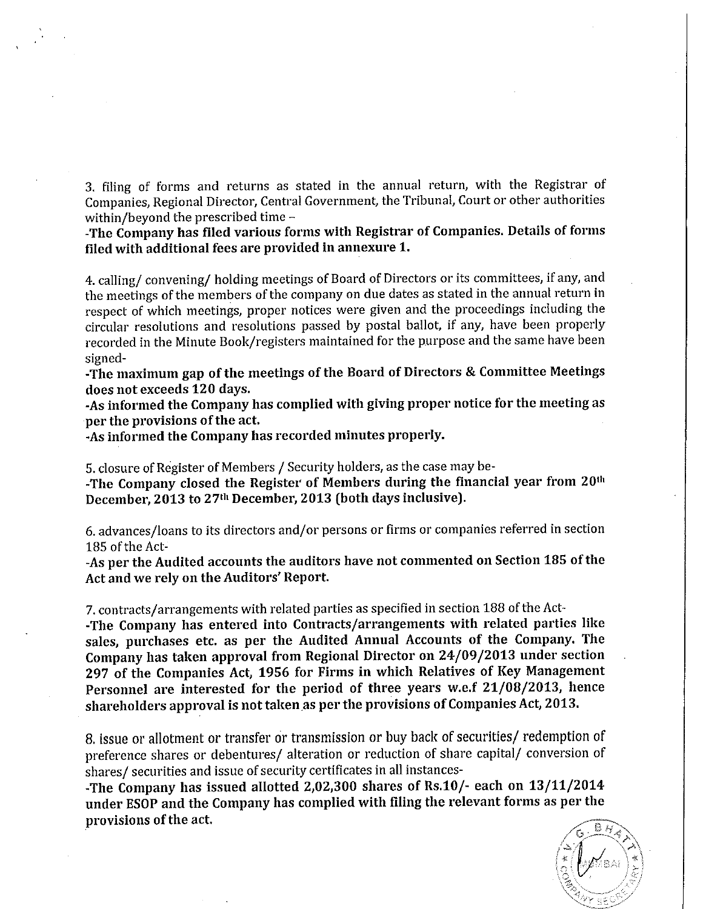3. filing of forms and returns as stated in the annual return, with the Registrar of Companies, Regional Director, Central Government, the Tribunal, Court or other authorities within/beyond the prescribed time -

-The Company has filed various forms with Registrar of Companies. Details of forms filed with additional fees are provided in annexure 1.

4. calling/convening/holding meetings of Board of Directors or its committees, if any, and the meetings of the members of the company on due dates as stated in the annual return in respect of which meetings, proper notices were given and the proceedings including the circular resolutions and resolutions passed by postal ballot, if any, have been properly recorded in the Minute Book/registers maintained for the purpose and the same have been signed-

-The maximum gap of the meetings of the Board of Directors & Committee Meetings does not exceeds 120 days.

-As informed the Company has complied with giving proper notice for the meeting as per the provisions of the act.

-As informed the Company has recorded minutes properly.

5. closure of Register of Members / Security holders, as the case may be-

-The Company closed the Register of Members during the financial year from 20th December, 2013 to 27<sup>th</sup> December, 2013 (both days inclusive).

6. advances/loans to its directors and/or persons or firms or companies referred in section 185 of the Act-

-As per the Audited accounts the auditors have not commented on Section 185 of the Act and we rely on the Auditors' Report.

7. contracts/arrangements with related parties as specified in section 188 of the Act--The Company has entered into Contracts/arrangements with related parties like sales, purchases etc. as per the Audited Annual Accounts of the Company. The Company has taken approval from Regional Director on 24/09/2013 under section 297 of the Companies Act, 1956 for Firms in which Relatives of Key Management Personnel are interested for the period of three years w.e.f 21/08/2013, hence shareholders approval is not taken as per the provisions of Companies Act, 2013.

8. issue or allotment or transfer or transmission or buy back of securities/ redemption of preference shares or debentures/ alteration or reduction of share capital/ conversion of shares/ securities and issue of security certificates in all instances-

-The Company has issued allotted 2,02,300 shares of Rs.10/- each on 13/11/2014 under ESOP and the Company has complied with filing the relevant forms as per the provisions of the act.

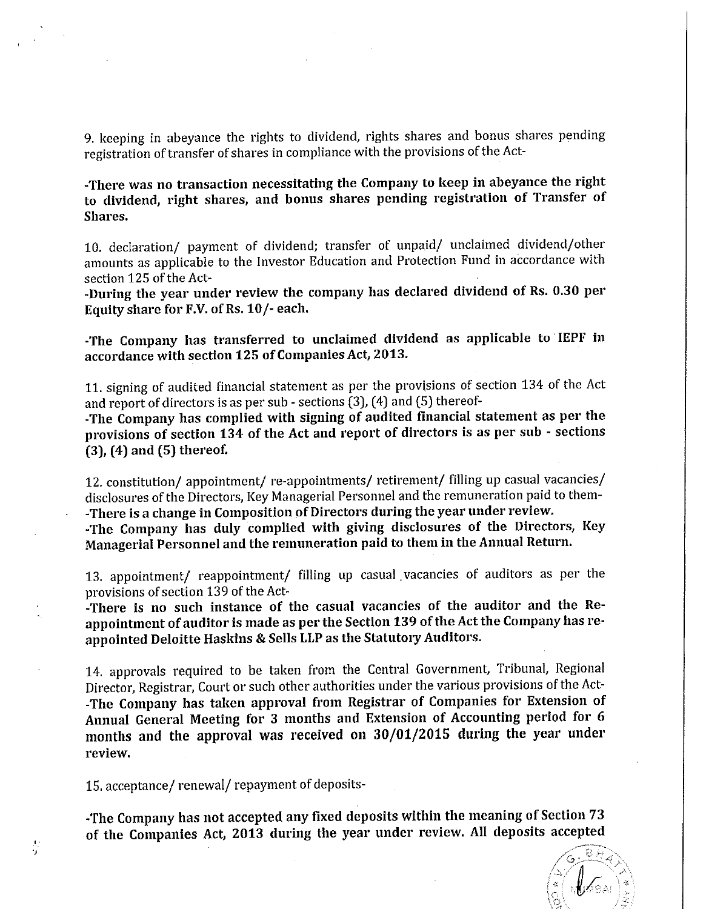9. keeping in abeyance the rights to dividend, rights shares and bonus shares pending registration of transfer of shares in compliance with the provisions of the Act-

-There was no transaction necessitating the Company to keep in abeyance the right to dividend, right shares, and bonus shares pending registration of Transfer of Shares.

10. declaration/ payment of dividend; transfer of unpaid/ unclaimed dividend/other amounts as applicable to the Investor Education and Protection Fund in accordance with section 125 of the Act-

-During the year under review the company has declared dividend of Rs. 0.30 per Equity share for F.V. of Rs. 10/- each.

-The Company has transferred to unclaimed dividend as applicable to IEPF in accordance with section 125 of Companies Act, 2013.

11. signing of audited financial statement as per the provisions of section 134 of the Act and report of directors is as per sub - sections (3), (4) and (5) thereof-

-The Company has complied with signing of audited financial statement as per the provisions of section 134 of the Act and report of directors is as per sub - sections  $(3)$ ,  $(4)$  and  $(5)$  thereof.

12. constitution/ appointment/ re-appointments/ retirement/ filling up casual vacancies/ disclosures of the Directors, Key Managerial Personnel and the remuneration paid to them--There is a change in Composition of Directors during the year under review.

-The Company has duly complied with giving disclosures of the Directors, Key Managerial Personnel and the remuneration paid to them in the Annual Return.

13. appointment/ reappointment/ filling up casual vacancies of auditors as per the provisions of section 139 of the Act-

-There is no such instance of the casual vacancies of the auditor and the Reappointment of auditor is made as per the Section 139 of the Act the Company has reappointed Deloitte Haskins & Sells LLP as the Statutory Auditors.

14. approvals required to be taken from the Central Government, Tribunal, Regional Director, Registrar, Court or such other authorities under the various provisions of the Act--The Company has taken approval from Registrar of Companies for Extension of Annual General Meeting for 3 months and Extension of Accounting period for 6 months and the approval was received on 30/01/2015 during the year under review.

15. acceptance/renewal/repayment of deposits-

 $\frac{1}{3}$ 

-The Company has not accepted any fixed deposits within the meaning of Section 73 of the Companies Act, 2013 during the year under review. All deposits accepted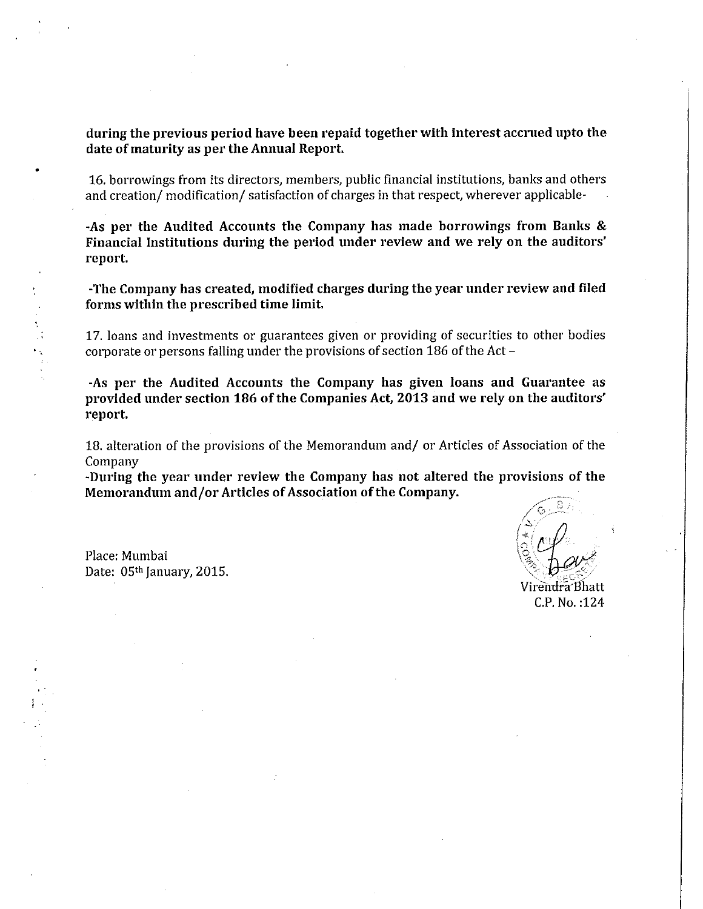during the previous period have been repaid together with interest accrued upto the date of maturity as per the Annual Report.

16. borrowings from its directors, members, public financial institutions, banks and others and creation/modification/satisfaction of charges in that respect, wherever applicable-

-As per the Audited Accounts the Company has made borrowings from Banks & Financial Institutions during the period under review and we rely on the auditors' report.

-The Company has created, modified charges during the year under review and filed forms within the prescribed time limit.

17. loans and investments or guarantees given or providing of securities to other bodies corporate or persons falling under the provisions of section 186 of the Act  $-$ 

-As per the Audited Accounts the Company has given loans and Guarantee as provided under section 186 of the Companies Act, 2013 and we rely on the auditors' report.

18. alteration of the provisions of the Memorandum and/ or Articles of Association of the Company

-During the year under review the Company has not altered the provisions of the Memorandum and/or Articles of Association of the Company.

Place: Mumbai Date: 05<sup>th</sup> January, 2015.

Virendra Bhatt C.P. No.: 124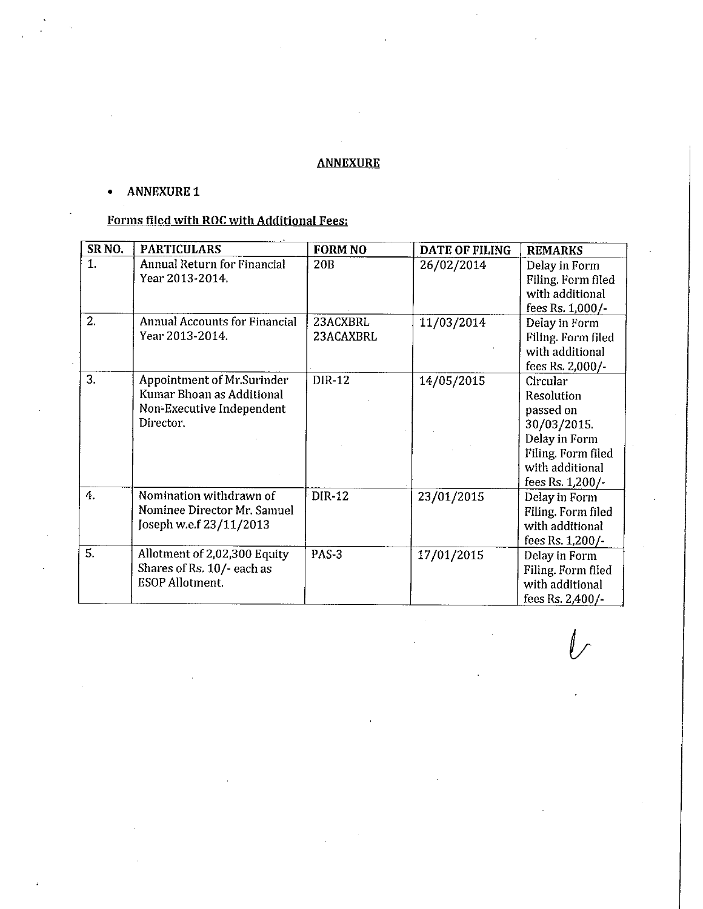## **ANNEXURE**

#### **ANNEXURE 1**  $\bullet$

## Forms filed with ROC with Additional Fees:

| SR <sub>NO</sub> . | <b>PARTICULARS</b>                                                                                       | <b>FORM NO</b>        | DATE OF FILING | <b>REMARKS</b>                                                                                                                          |
|--------------------|----------------------------------------------------------------------------------------------------------|-----------------------|----------------|-----------------------------------------------------------------------------------------------------------------------------------------|
| 1.                 | Annual Return for Financial<br>Year 2013-2014.                                                           | 20B                   | 26/02/2014     | Delay in Form<br>Filing. Form filed<br>with additional<br>fees Rs. 1,000/-                                                              |
| 2.                 | <b>Annual Accounts for Financial</b><br>Year 2013-2014.                                                  | 23ACXBRL<br>23ACAXBRL | 11/03/2014     | Delay in Form<br>Filing. Form filed<br>with additional<br>fees Rs. 2,000/-                                                              |
| 3.                 | <b>Appointment of Mr.Surinder</b><br>Kumar Bhoan as Additional<br>Non-Executive Independent<br>Director. | <b>DIR-12</b>         | 14/05/2015     | Circular<br><b>Resolution</b><br>passed on<br>30/03/2015.<br>Delay in Form<br>Filing. Form filed<br>with additional<br>fees Rs. 1,200/- |
| 4.                 | Nomination withdrawn of<br>Nominee Director Mr. Samuel<br>Joseph w.e.f 23/11/2013                        | DIR-12                | 23/01/2015     | Delay in Form<br>Filing. Form filed<br>with additional<br>fees Rs. 1,200/-                                                              |
| 5.                 | Allotment of 2,02,300 Equity<br>Shares of Rs. 10/- each as<br><b>ESOP Allotment.</b>                     | PAS-3                 | 17/01/2015     | Delay in Form<br>Filing. Form filed<br>with additional<br>fees Rs. 2,400/-                                                              |

 $\mathbb{L}$